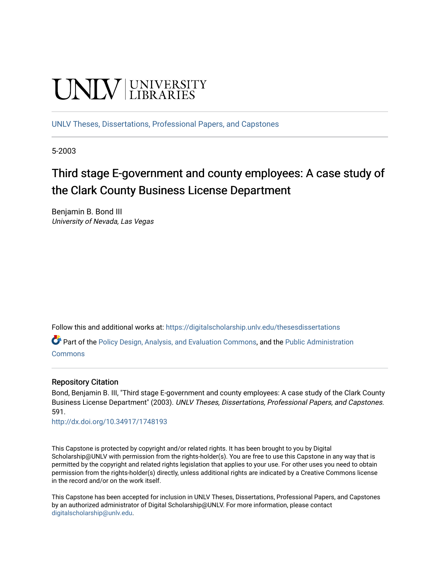# **UNIVERSITY**

[UNLV Theses, Dissertations, Professional Papers, and Capstones](https://digitalscholarship.unlv.edu/thesesdissertations)

5-2003

# Third stage E-government and county employees: A case study of the Clark County Business License Department

Benjamin B. Bond III University of Nevada, Las Vegas

Follow this and additional works at: [https://digitalscholarship.unlv.edu/thesesdissertations](https://digitalscholarship.unlv.edu/thesesdissertations?utm_source=digitalscholarship.unlv.edu%2Fthesesdissertations%2F591&utm_medium=PDF&utm_campaign=PDFCoverPages)

Part of the [Policy Design, Analysis, and Evaluation Commons](http://network.bepress.com/hgg/discipline/1032?utm_source=digitalscholarship.unlv.edu%2Fthesesdissertations%2F591&utm_medium=PDF&utm_campaign=PDFCoverPages), and the [Public Administration](http://network.bepress.com/hgg/discipline/398?utm_source=digitalscholarship.unlv.edu%2Fthesesdissertations%2F591&utm_medium=PDF&utm_campaign=PDFCoverPages) [Commons](http://network.bepress.com/hgg/discipline/398?utm_source=digitalscholarship.unlv.edu%2Fthesesdissertations%2F591&utm_medium=PDF&utm_campaign=PDFCoverPages)

### Repository Citation

Bond, Benjamin B. III, "Third stage E-government and county employees: A case study of the Clark County Business License Department" (2003). UNLV Theses, Dissertations, Professional Papers, and Capstones. 591.

<http://dx.doi.org/10.34917/1748193>

This Capstone is protected by copyright and/or related rights. It has been brought to you by Digital Scholarship@UNLV with permission from the rights-holder(s). You are free to use this Capstone in any way that is permitted by the copyright and related rights legislation that applies to your use. For other uses you need to obtain permission from the rights-holder(s) directly, unless additional rights are indicated by a Creative Commons license in the record and/or on the work itself.

This Capstone has been accepted for inclusion in UNLV Theses, Dissertations, Professional Papers, and Capstones by an authorized administrator of Digital Scholarship@UNLV. For more information, please contact [digitalscholarship@unlv.edu](mailto:digitalscholarship@unlv.edu).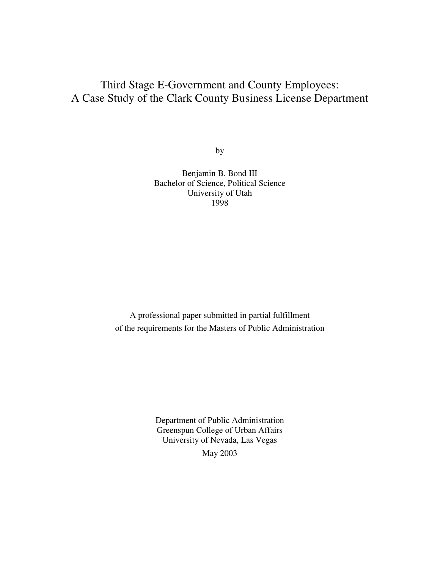# Third Stage E-Government and County Employees: A Case Study of the Clark County Business License Department

by

Benjamin B. Bond III Bachelor of Science, Political Science University of Utah 1998

A professional paper submitted in partial fulfillment of the requirements for the Masters of Public Administration

> Department of Public Administration Greenspun College of Urban Affairs University of Nevada, Las Vegas May 2003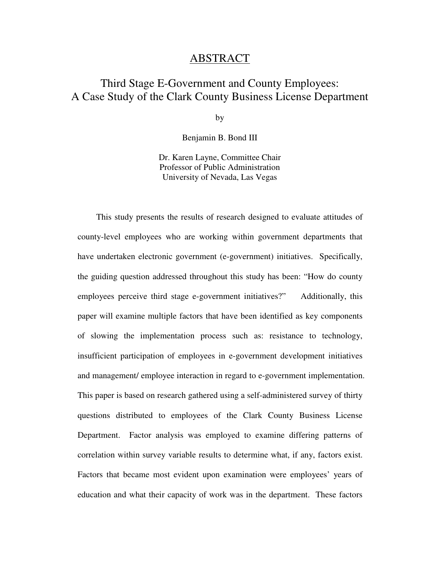## ABSTRACT

# Third Stage E-Government and County Employees: A Case Study of the Clark County Business License Department

by

Benjamin B. Bond III

Dr. Karen Layne, Committee Chair Professor of Public Administration University of Nevada, Las Vegas

 This study presents the results of research designed to evaluate attitudes of county-level employees who are working within government departments that have undertaken electronic government (e-government) initiatives. Specifically, the guiding question addressed throughout this study has been: "How do county employees perceive third stage e-government initiatives?" Additionally, this paper will examine multiple factors that have been identified as key components of slowing the implementation process such as: resistance to technology, insufficient participation of employees in e-government development initiatives and management/ employee interaction in regard to e-government implementation. This paper is based on research gathered using a self-administered survey of thirty questions distributed to employees of the Clark County Business License Department. Factor analysis was employed to examine differing patterns of correlation within survey variable results to determine what, if any, factors exist. Factors that became most evident upon examination were employees' years of education and what their capacity of work was in the department. These factors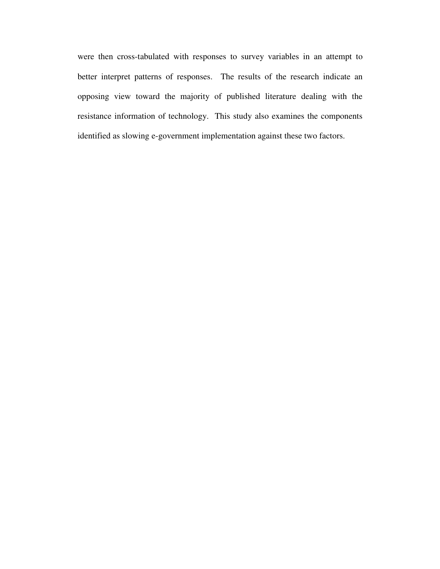were then cross-tabulated with responses to survey variables in an attempt to better interpret patterns of responses. The results of the research indicate an opposing view toward the majority of published literature dealing with the resistance information of technology. This study also examines the components identified as slowing e-government implementation against these two factors.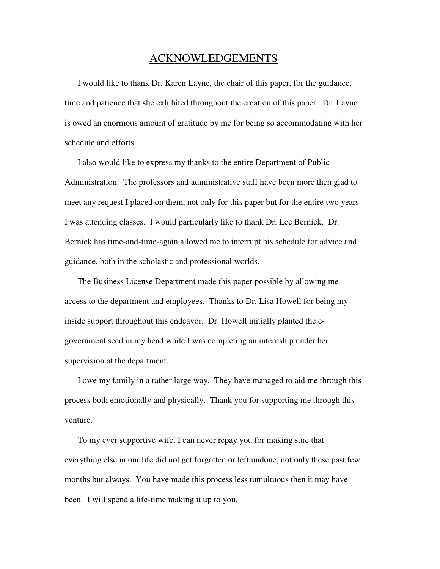### ACKNOWLEDGEMENTS

 I would like to thank Dr. Karen Layne, the chair of this paper, for the guidance, time and patience that she exhibited throughout the creation of this paper. Dr. Layne is owed an enormous amount of gratitude by me for being so accommodating with her schedule and efforts.

 I also would like to express my thanks to the entire Department of Public Administration. The professors and administrative staff have been more then glad to meet any request I placed on them, not only for this paper but for the entire two years I was attending classes. I would particularly like to thank Dr. Lee Bernick. Dr. Bernick has time-and-time-again allowed me to interrupt his schedule for advice and guidance, both in the scholastic and professional worlds.

 The Business License Department made this paper possible by allowing me access to the department and employees. Thanks to Dr. Lisa Howell for being my inside support throughout this endeavor. Dr. Howell initially planted the egovernment seed in my head while I was completing an internship under her supervision at the department.

 I owe my family in a rather large way. They have managed to aid me through this process both emotionally and physically. Thank you for supporting me through this venture.

 To my ever supportive wife, I can never repay you for making sure that everything else in our life did not get forgotten or left undone, not only these past few months but always. You have made this process less tumultuous then it may have been. I will spend a life-time making it up to you.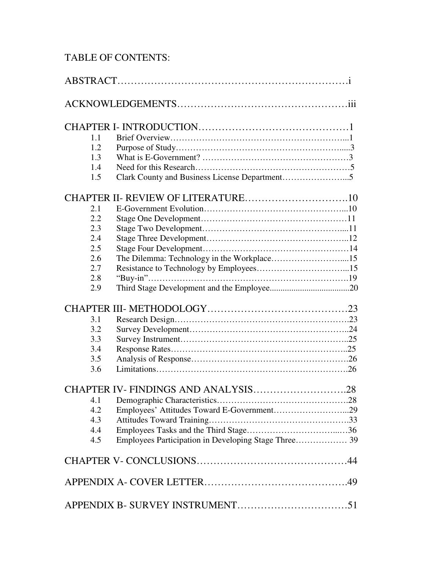# TABLE OF CONTENTS:

| 1.1 |                                            |
|-----|--------------------------------------------|
| 1.2 |                                            |
| 1.3 |                                            |
| 1.4 |                                            |
| 1.5 |                                            |
|     |                                            |
| 2.1 |                                            |
| 2.2 |                                            |
| 2.3 |                                            |
| 2.4 |                                            |
| 2.5 |                                            |
| 2.6 |                                            |
| 2.7 |                                            |
| 2.8 |                                            |
| 2.9 |                                            |
|     |                                            |
| 3.1 |                                            |
| 3.2 |                                            |
| 3.3 |                                            |
| 3.4 |                                            |
| 3.5 |                                            |
| 3.6 |                                            |
|     | CHAPTER IV-FINDINGS AND ANALYSIS28         |
| 4.1 |                                            |
| 4.2 | Employees' Attitudes Toward E-Government29 |
| 4.3 |                                            |
| 4.4 |                                            |
| 4.5 |                                            |
|     |                                            |
|     |                                            |
|     |                                            |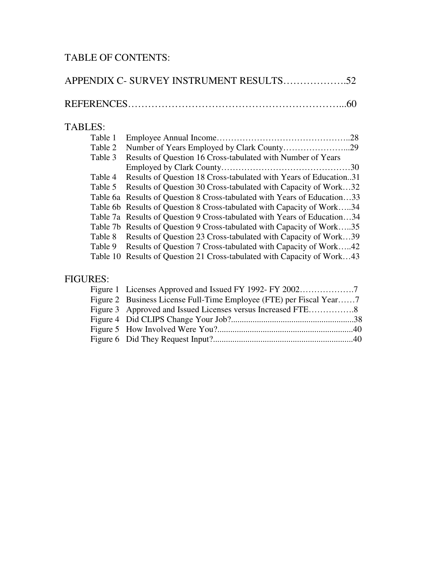# TABLE OF CONTENTS:

| <b>TABLES:</b> |                                                                          |
|----------------|--------------------------------------------------------------------------|
| Table 1        |                                                                          |
| Table 2        |                                                                          |
| Table 3        | Results of Question 16 Cross-tabulated with Number of Years              |
|                |                                                                          |
| Table 4        | Results of Question 18 Cross-tabulated with Years of Education31         |
| Table 5        | Results of Question 30 Cross-tabulated with Capacity of Work32           |
|                | Table 6a Results of Question 8 Cross-tabulated with Years of Education33 |
|                | Table 6b Results of Question 8 Cross-tabulated with Capacity of Work34   |
|                | Table 7a Results of Question 9 Cross-tabulated with Years of Education34 |
|                | Table 7b Results of Question 9 Cross-tabulated with Capacity of Work35   |
| Table 8        | Results of Question 23 Cross-tabulated with Capacity of Work39           |
| Table 9        | Results of Question 7 Cross-tabulated with Capacity of Work42            |
|                | Table 10 Results of Question 21 Cross-tabulated with Capacity of Work43  |

# FIGURES:

| Figure 2 Business License Full-Time Employee (FTE) per Fiscal Year7 |  |
|---------------------------------------------------------------------|--|
|                                                                     |  |
|                                                                     |  |
|                                                                     |  |
|                                                                     |  |
|                                                                     |  |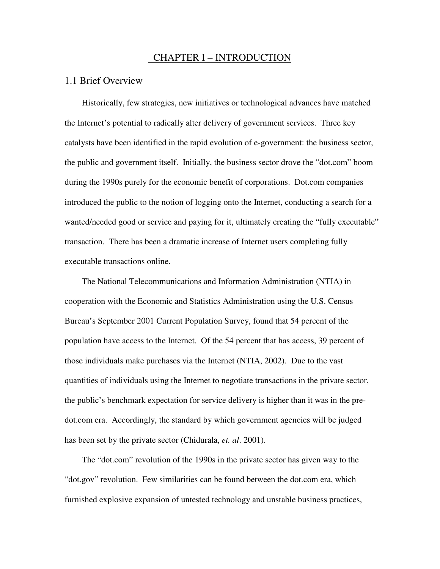### CHAPTER I – INTRODUCTION

### 1.1 Brief Overview

Historically, few strategies, new initiatives or technological advances have matched the Internet's potential to radically alter delivery of government services. Three key catalysts have been identified in the rapid evolution of e-government: the business sector, the public and government itself. Initially, the business sector drove the "dot.com" boom during the 1990s purely for the economic benefit of corporations. Dot.com companies introduced the public to the notion of logging onto the Internet, conducting a search for a wanted/needed good or service and paying for it, ultimately creating the "fully executable" transaction. There has been a dramatic increase of Internet users completing fully executable transactions online.

The National Telecommunications and Information Administration (NTIA) in cooperation with the Economic and Statistics Administration using the U.S. Census Bureau's September 2001 Current Population Survey, found that 54 percent of the population have access to the Internet. Of the 54 percent that has access, 39 percent of those individuals make purchases via the Internet (NTIA, 2002). Due to the vast quantities of individuals using the Internet to negotiate transactions in the private sector, the public's benchmark expectation for service delivery is higher than it was in the predot.com era. Accordingly, the standard by which government agencies will be judged has been set by the private sector (Chidurala, *et. al*. 2001).

The "dot.com" revolution of the 1990s in the private sector has given way to the "dot.gov" revolution. Few similarities can be found between the dot.com era, which furnished explosive expansion of untested technology and unstable business practices,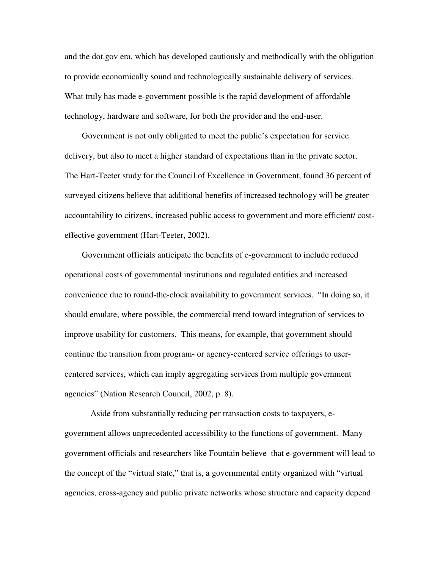and the dot.gov era, which has developed cautiously and methodically with the obligation to provide economically sound and technologically sustainable delivery of services. What truly has made e-government possible is the rapid development of affordable technology, hardware and software, for both the provider and the end-user.

Government is not only obligated to meet the public's expectation for service delivery, but also to meet a higher standard of expectations than in the private sector. The Hart-Teeter study for the Council of Excellence in Government, found 36 percent of surveyed citizens believe that additional benefits of increased technology will be greater accountability to citizens, increased public access to government and more efficient/ costeffective government (Hart-Teeter, 2002).

Government officials anticipate the benefits of e-government to include reduced operational costs of governmental institutions and regulated entities and increased convenience due to round-the-clock availability to government services. "In doing so, it should emulate, where possible, the commercial trend toward integration of services to improve usability for customers. This means, for example, that government should continue the transition from program- or agency-centered service offerings to usercentered services, which can imply aggregating services from multiple government agencies" (Nation Research Council, 2002, p. 8).

 Aside from substantially reducing per transaction costs to taxpayers, egovernment allows unprecedented accessibility to the functions of government. Many government officials and researchers like Fountain believe that e-government will lead to the concept of the "virtual state," that is, a governmental entity organized with "virtual agencies, cross-agency and public private networks whose structure and capacity depend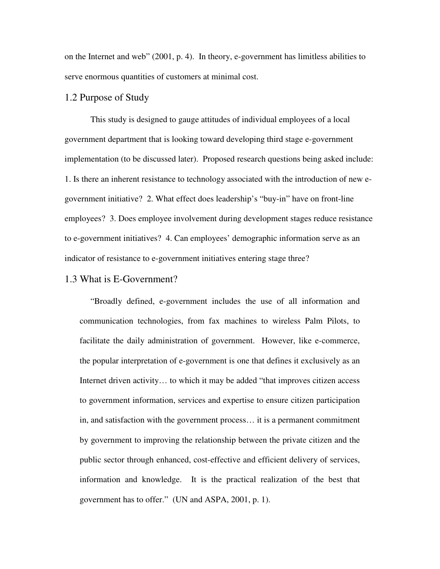on the Internet and web" (2001, p. 4). In theory, e-government has limitless abilities to serve enormous quantities of customers at minimal cost.

### 1.2 Purpose of Study

This study is designed to gauge attitudes of individual employees of a local government department that is looking toward developing third stage e-government implementation (to be discussed later). Proposed research questions being asked include: 1. Is there an inherent resistance to technology associated with the introduction of new egovernment initiative? 2. What effect does leadership's "buy-in" have on front-line employees? 3. Does employee involvement during development stages reduce resistance to e-government initiatives? 4. Can employees' demographic information serve as an indicator of resistance to e-government initiatives entering stage three?

#### 1.3 What is E-Government?

"Broadly defined, e-government includes the use of all information and communication technologies, from fax machines to wireless Palm Pilots, to facilitate the daily administration of government. However, like e-commerce, the popular interpretation of e-government is one that defines it exclusively as an Internet driven activity... to which it may be added "that improves citizen access" to government information, services and expertise to ensure citizen participation in, and satisfaction with the government process… it is a permanent commitment by government to improving the relationship between the private citizen and the public sector through enhanced, cost-effective and efficient delivery of services, information and knowledge. It is the practical realization of the best that government has to offer." (UN and ASPA, 2001, p. 1).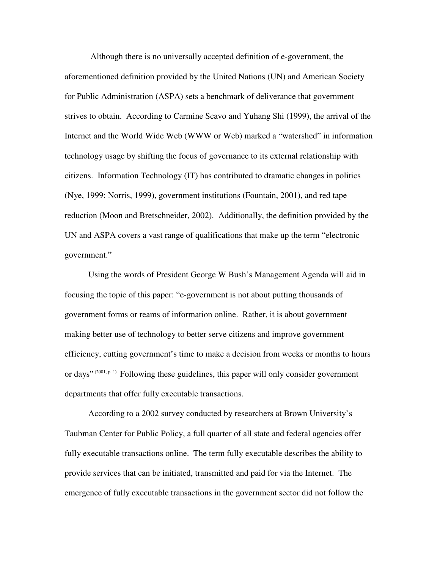Although there is no universally accepted definition of e-government, the aforementioned definition provided by the United Nations (UN) and American Society for Public Administration (ASPA) sets a benchmark of deliverance that government strives to obtain. According to Carmine Scavo and Yuhang Shi (1999), the arrival of the Internet and the World Wide Web (WWW or Web) marked a "watershed" in information technology usage by shifting the focus of governance to its external relationship with citizens. Information Technology (IT) has contributed to dramatic changes in politics (Nye, 1999: Norris, 1999), government institutions (Fountain, 2001), and red tape reduction (Moon and Bretschneider, 2002). Additionally, the definition provided by the UN and ASPA covers a vast range of qualifications that make up the term "electronic government."

 Using the words of President George W Bush's Management Agenda will aid in focusing the topic of this paper: "e-government is not about putting thousands of government forms or reams of information online. Rather, it is about government making better use of technology to better serve citizens and improve government efficiency, cutting government's time to make a decision from weeks or months to hours or days" (2001, p. 1). Following these guidelines, this paper will only consider government departments that offer fully executable transactions.

 According to a 2002 survey conducted by researchers at Brown University's Taubman Center for Public Policy, a full quarter of all state and federal agencies offer fully executable transactions online. The term fully executable describes the ability to provide services that can be initiated, transmitted and paid for via the Internet. The emergence of fully executable transactions in the government sector did not follow the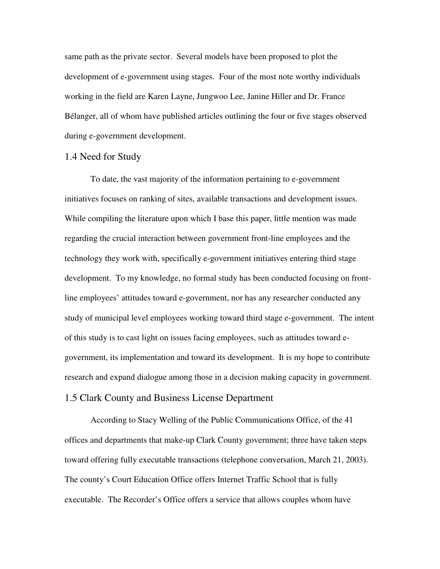same path as the private sector. Several models have been proposed to plot the development of e-government using stages. Four of the most note worthy individuals working in the field are Karen Layne, Jungwoo Lee, Janine Hiller and Dr. France Bélanger, all of whom have published articles outlining the four or five stages observed during e-government development.

### 1.4 Need for Study

 To date, the vast majority of the information pertaining to e-government initiatives focuses on ranking of sites, available transactions and development issues. While compiling the literature upon which I base this paper, little mention was made regarding the crucial interaction between government front-line employees and the technology they work with, specifically e-government initiatives entering third stage development. To my knowledge, no formal study has been conducted focusing on frontline employees' attitudes toward e-government, nor has any researcher conducted any study of municipal level employees working toward third stage e-government. The intent of this study is to cast light on issues facing employees, such as attitudes toward egovernment, its implementation and toward its development. It is my hope to contribute research and expand dialogue among those in a decision making capacity in government. 1.5 Clark County and Business License Department

According to Stacy Welling of the Public Communications Office, of the 41 offices and departments that make-up Clark County government; three have taken steps toward offering fully executable transactions (telephone conversation, March 21, 2003). The county's Court Education Office offers Internet Traffic School that is fully executable. The Recorder's Office offers a service that allows couples whom have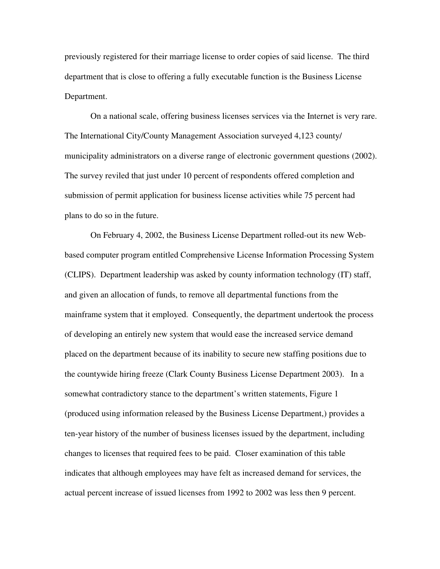previously registered for their marriage license to order copies of said license. The third department that is close to offering a fully executable function is the Business License Department.

On a national scale, offering business licenses services via the Internet is very rare. The International City/County Management Association surveyed 4,123 county/ municipality administrators on a diverse range of electronic government questions (2002). The survey reviled that just under 10 percent of respondents offered completion and submission of permit application for business license activities while 75 percent had plans to do so in the future.

On February 4, 2002, the Business License Department rolled-out its new Webbased computer program entitled Comprehensive License Information Processing System (CLIPS). Department leadership was asked by county information technology (IT) staff, and given an allocation of funds, to remove all departmental functions from the mainframe system that it employed. Consequently, the department undertook the process of developing an entirely new system that would ease the increased service demand placed on the department because of its inability to secure new staffing positions due to the countywide hiring freeze (Clark County Business License Department 2003). In a somewhat contradictory stance to the department's written statements, Figure 1 (produced using information released by the Business License Department,) provides a ten-year history of the number of business licenses issued by the department, including changes to licenses that required fees to be paid. Closer examination of this table indicates that although employees may have felt as increased demand for services, the actual percent increase of issued licenses from 1992 to 2002 was less then 9 percent.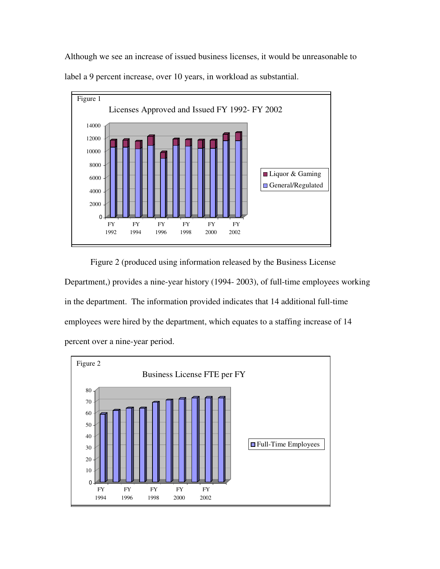Although we see an increase of issued business licenses, it would be unreasonable to label a 9 percent increase, over 10 years, in workload as substantial.



 Figure 2 (produced using information released by the Business License Department,) provides a nine-year history (1994- 2003), of full-time employees working in the department. The information provided indicates that 14 additional full-time employees were hired by the department, which equates to a staffing increase of 14 percent over a nine-year period.

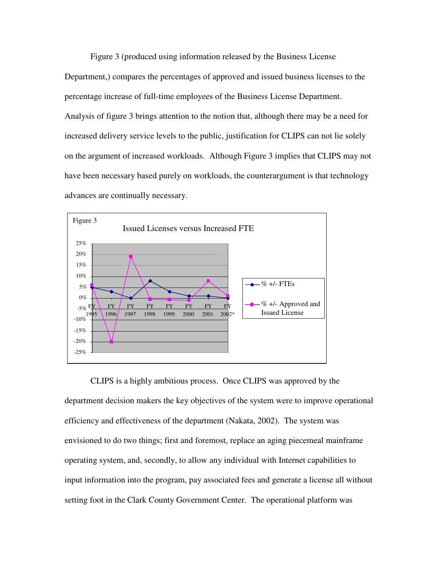Figure 3 (produced using information released by the Business License Department,) compares the percentages of approved and issued business licenses to the percentage increase of full-time employees of the Business License Department. Analysis of figure 3 brings attention to the notion that, although there may be a need for increased delivery service levels to the public, justification for CLIPS can not lie solely on the argument of increased workloads. Although Figure 3 implies that CLIPS may not have been necessary based purely on workloads, the counterargument is that technology advances are continually necessary.



CLIPS is a highly ambitious process. Once CLIPS was approved by the department decision makers the key objectives of the system were to improve operational efficiency and effectiveness of the department (Nakata, 2002). The system was envisioned to do two things; first and foremost, replace an aging piecemeal mainframe operating system, and, secondly, to allow any individual with Internet capabilities to input information into the program, pay associated fees and generate a license all without setting foot in the Clark County Government Center. The operational platform was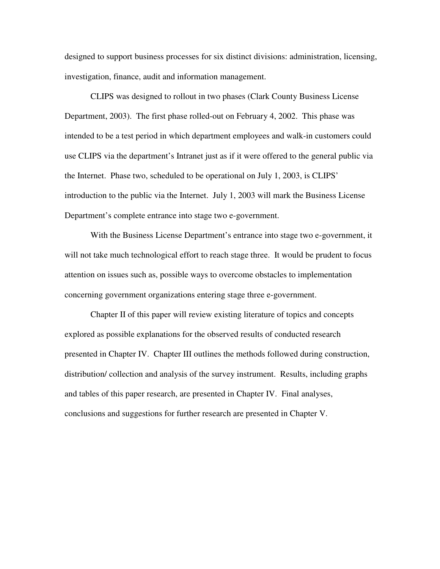designed to support business processes for six distinct divisions: administration, licensing, investigation, finance, audit and information management.

CLIPS was designed to rollout in two phases (Clark County Business License Department, 2003). The first phase rolled-out on February 4, 2002. This phase was intended to be a test period in which department employees and walk-in customers could use CLIPS via the department's Intranet just as if it were offered to the general public via the Internet. Phase two, scheduled to be operational on July 1, 2003, is CLIPS' introduction to the public via the Internet. July 1, 2003 will mark the Business License Department's complete entrance into stage two e-government.

With the Business License Department's entrance into stage two e-government, it will not take much technological effort to reach stage three. It would be prudent to focus attention on issues such as, possible ways to overcome obstacles to implementation concerning government organizations entering stage three e-government.

Chapter II of this paper will review existing literature of topics and concepts explored as possible explanations for the observed results of conducted research presented in Chapter IV. Chapter III outlines the methods followed during construction, distribution/ collection and analysis of the survey instrument. Results, including graphs and tables of this paper research, are presented in Chapter IV. Final analyses, conclusions and suggestions for further research are presented in Chapter V.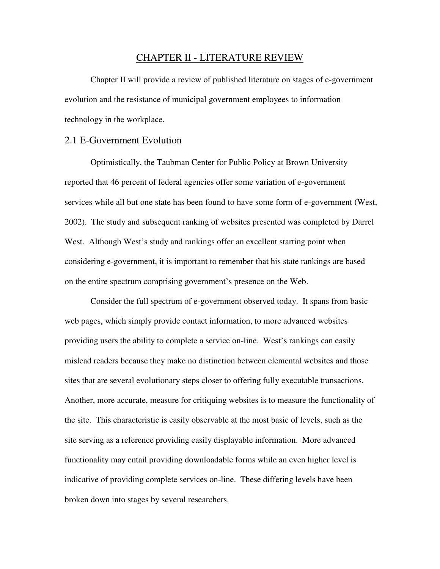#### CHAPTER II - LITERATURE REVIEW

Chapter II will provide a review of published literature on stages of e-government evolution and the resistance of municipal government employees to information technology in the workplace.

### 2.1 E-Government Evolution

Optimistically, the Taubman Center for Public Policy at Brown University reported that 46 percent of federal agencies offer some variation of e-government services while all but one state has been found to have some form of e-government (West, 2002). The study and subsequent ranking of websites presented was completed by Darrel West. Although West's study and rankings offer an excellent starting point when considering e-government, it is important to remember that his state rankings are based on the entire spectrum comprising government's presence on the Web.

 Consider the full spectrum of e-government observed today. It spans from basic web pages, which simply provide contact information, to more advanced websites providing users the ability to complete a service on-line. West's rankings can easily mislead readers because they make no distinction between elemental websites and those sites that are several evolutionary steps closer to offering fully executable transactions. Another, more accurate, measure for critiquing websites is to measure the functionality of the site. This characteristic is easily observable at the most basic of levels, such as the site serving as a reference providing easily displayable information. More advanced functionality may entail providing downloadable forms while an even higher level is indicative of providing complete services on-line. These differing levels have been broken down into stages by several researchers.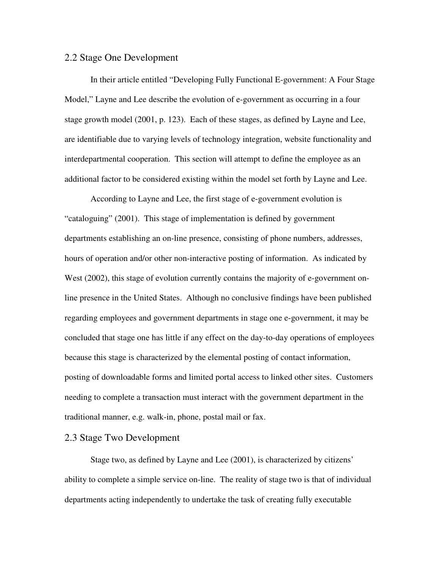### 2.2 Stage One Development

 In their article entitled "Developing Fully Functional E-government: A Four Stage Model," Layne and Lee describe the evolution of e-government as occurring in a four stage growth model (2001, p. 123). Each of these stages, as defined by Layne and Lee, are identifiable due to varying levels of technology integration, website functionality and interdepartmental cooperation. This section will attempt to define the employee as an additional factor to be considered existing within the model set forth by Layne and Lee.

 According to Layne and Lee, the first stage of e-government evolution is "cataloguing" (2001). This stage of implementation is defined by government departments establishing an on-line presence, consisting of phone numbers, addresses, hours of operation and/or other non-interactive posting of information. As indicated by West (2002), this stage of evolution currently contains the majority of e-government online presence in the United States. Although no conclusive findings have been published regarding employees and government departments in stage one e-government, it may be concluded that stage one has little if any effect on the day-to-day operations of employees because this stage is characterized by the elemental posting of contact information, posting of downloadable forms and limited portal access to linked other sites. Customers needing to complete a transaction must interact with the government department in the traditional manner, e.g. walk-in, phone, postal mail or fax.

### 2.3 Stage Two Development

 Stage two, as defined by Layne and Lee (2001), is characterized by citizens' ability to complete a simple service on-line. The reality of stage two is that of individual departments acting independently to undertake the task of creating fully executable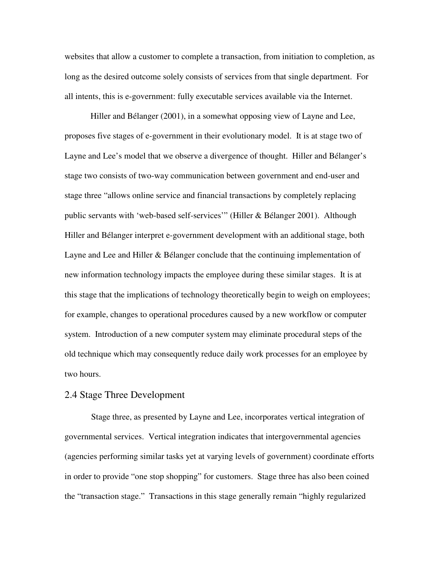websites that allow a customer to complete a transaction, from initiation to completion, as long as the desired outcome solely consists of services from that single department. For all intents, this is e-government: fully executable services available via the Internet.

 Hiller and Bélanger (2001), in a somewhat opposing view of Layne and Lee, proposes five stages of e-government in their evolutionary model. It is at stage two of Layne and Lee's model that we observe a divergence of thought. Hiller and Bélanger's stage two consists of two-way communication between government and end-user and stage three "allows online service and financial transactions by completely replacing public servants with 'web-based self-services'" (Hiller & Bélanger 2001). Although Hiller and Bélanger interpret e-government development with an additional stage, both Layne and Lee and Hiller & Bélanger conclude that the continuing implementation of new information technology impacts the employee during these similar stages. It is at this stage that the implications of technology theoretically begin to weigh on employees; for example, changes to operational procedures caused by a new workflow or computer system. Introduction of a new computer system may eliminate procedural steps of the old technique which may consequently reduce daily work processes for an employee by two hours.

#### 2.4 Stage Three Development

 Stage three, as presented by Layne and Lee, incorporates vertical integration of governmental services. Vertical integration indicates that intergovernmental agencies (agencies performing similar tasks yet at varying levels of government) coordinate efforts in order to provide "one stop shopping" for customers. Stage three has also been coined the "transaction stage." Transactions in this stage generally remain "highly regularized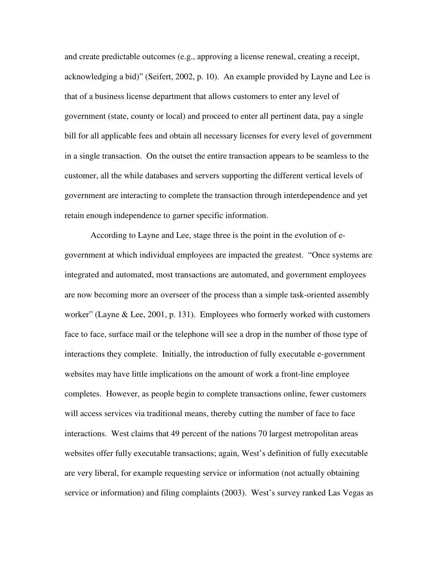and create predictable outcomes (e.g., approving a license renewal, creating a receipt, acknowledging a bid)" (Seifert, 2002, p. 10). An example provided by Layne and Lee is that of a business license department that allows customers to enter any level of government (state, county or local) and proceed to enter all pertinent data, pay a single bill for all applicable fees and obtain all necessary licenses for every level of government in a single transaction. On the outset the entire transaction appears to be seamless to the customer, all the while databases and servers supporting the different vertical levels of government are interacting to complete the transaction through interdependence and yet retain enough independence to garner specific information.

 According to Layne and Lee, stage three is the point in the evolution of egovernment at which individual employees are impacted the greatest. "Once systems are integrated and automated, most transactions are automated, and government employees are now becoming more an overseer of the process than a simple task-oriented assembly worker" (Layne & Lee, 2001, p. 131). Employees who formerly worked with customers face to face, surface mail or the telephone will see a drop in the number of those type of interactions they complete. Initially, the introduction of fully executable e-government websites may have little implications on the amount of work a front-line employee completes. However, as people begin to complete transactions online, fewer customers will access services via traditional means, thereby cutting the number of face to face interactions. West claims that 49 percent of the nations 70 largest metropolitan areas websites offer fully executable transactions; again, West's definition of fully executable are very liberal, for example requesting service or information (not actually obtaining service or information) and filing complaints (2003). West's survey ranked Las Vegas as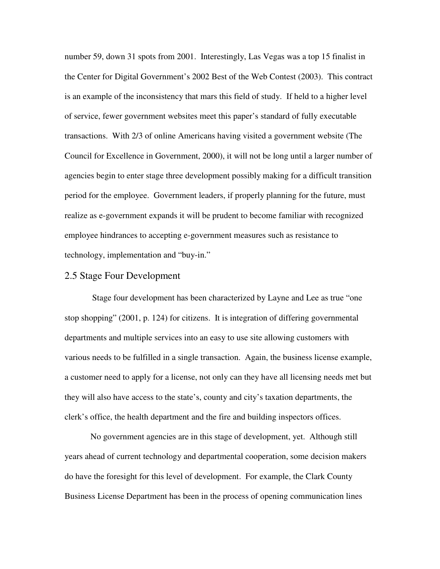number 59, down 31 spots from 2001. Interestingly, Las Vegas was a top 15 finalist in the Center for Digital Government's 2002 Best of the Web Contest (2003). This contract is an example of the inconsistency that mars this field of study. If held to a higher level of service, fewer government websites meet this paper's standard of fully executable transactions. With 2/3 of online Americans having visited a government website (The Council for Excellence in Government, 2000), it will not be long until a larger number of agencies begin to enter stage three development possibly making for a difficult transition period for the employee. Government leaders, if properly planning for the future, must realize as e-government expands it will be prudent to become familiar with recognized employee hindrances to accepting e-government measures such as resistance to technology, implementation and "buy-in."

### 2.5 Stage Four Development

 Stage four development has been characterized by Layne and Lee as true "one stop shopping" (2001, p. 124) for citizens. It is integration of differing governmental departments and multiple services into an easy to use site allowing customers with various needs to be fulfilled in a single transaction. Again, the business license example, a customer need to apply for a license, not only can they have all licensing needs met but they will also have access to the state's, county and city's taxation departments, the clerk's office, the health department and the fire and building inspectors offices.

 No government agencies are in this stage of development, yet. Although still years ahead of current technology and departmental cooperation, some decision makers do have the foresight for this level of development. For example, the Clark County Business License Department has been in the process of opening communication lines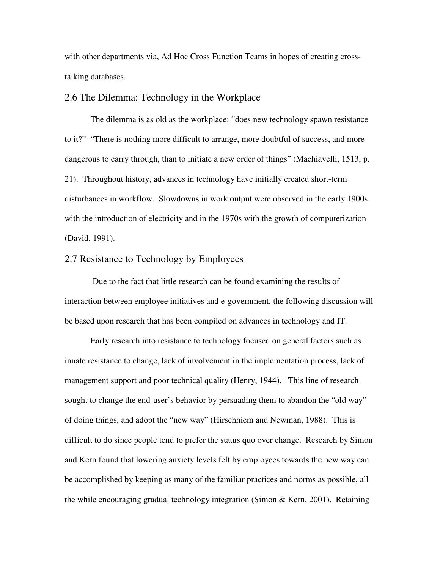with other departments via, Ad Hoc Cross Function Teams in hopes of creating crosstalking databases.

#### 2.6 The Dilemma: Technology in the Workplace

 The dilemma is as old as the workplace: "does new technology spawn resistance to it?" "There is nothing more difficult to arrange, more doubtful of success, and more dangerous to carry through, than to initiate a new order of things" (Machiavelli, 1513, p. 21). Throughout history, advances in technology have initially created short-term disturbances in workflow. Slowdowns in work output were observed in the early 1900s with the introduction of electricity and in the 1970s with the growth of computerization (David, 1991).

### 2.7 Resistance to Technology by Employees

 Due to the fact that little research can be found examining the results of interaction between employee initiatives and e-government, the following discussion will be based upon research that has been compiled on advances in technology and IT.

 Early research into resistance to technology focused on general factors such as innate resistance to change, lack of involvement in the implementation process, lack of management support and poor technical quality (Henry, 1944). This line of research sought to change the end-user's behavior by persuading them to abandon the "old way" of doing things, and adopt the "new way" (Hirschhiem and Newman, 1988). This is difficult to do since people tend to prefer the status quo over change. Research by Simon and Kern found that lowering anxiety levels felt by employees towards the new way can be accomplished by keeping as many of the familiar practices and norms as possible, all the while encouraging gradual technology integration (Simon & Kern, 2001). Retaining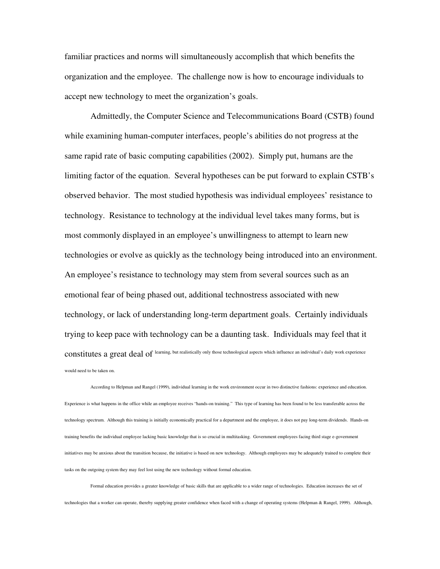familiar practices and norms will simultaneously accomplish that which benefits the organization and the employee. The challenge now is how to encourage individuals to accept new technology to meet the organization's goals.

 Admittedly, the Computer Science and Telecommunications Board (CSTB) found while examining human-computer interfaces, people's abilities do not progress at the same rapid rate of basic computing capabilities (2002). Simply put, humans are the limiting factor of the equation. Several hypotheses can be put forward to explain CSTB's observed behavior. The most studied hypothesis was individual employees' resistance to technology. Resistance to technology at the individual level takes many forms, but is most commonly displayed in an employee's unwillingness to attempt to learn new technologies or evolve as quickly as the technology being introduced into an environment. An employee's resistance to technology may stem from several sources such as an emotional fear of being phased out, additional technostress associated with new technology, or lack of understanding long-term department goals. Certainly individuals trying to keep pace with technology can be a daunting task. Individuals may feel that it constitutes a great deal of learning, but realistically only those technological aspects which influence an individual's daily work experience would need to be taken on.

 According to Helpman and Rangel (1999), individual learning in the work environment occur in two distinctive fashions: experience and education. Experience is what happens in the office while an employee receives "hands-on training." This type of learning has been found to be less transferable across the technology spectrum. Although this training is initially economically practical for a department and the employee, it does not pay long-term dividends. Hands-on training benefits the individual employee lacking basic knowledge that is so crucial in multitasking. Government employees facing third stage e-government initiatives may be anxious about the transition because, the initiative is based on new technology. Although employees may be adequately trained to complete their tasks on the outgoing system they may feel lost using the new technology without formal education.

 Formal education provides a greater knowledge of basic skills that are applicable to a wider range of technologies. Education increases the set of technologies that a worker can operate, thereby supplying greater confidence when faced with a change of operating systems (Helpman & Rangel, 1999). Although,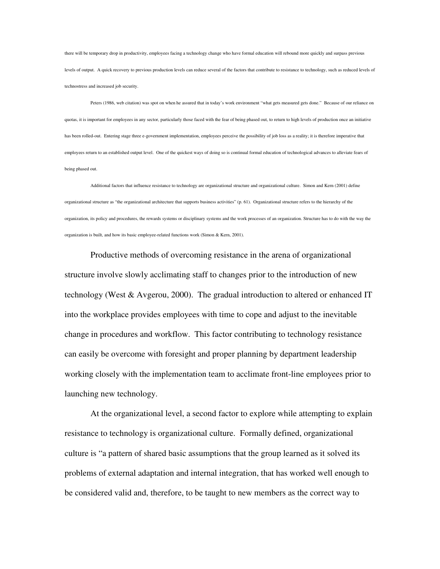there will be temporary drop in productivity, employees facing a technology change who have formal education will rebound more quickly and surpass previous levels of output. A quick recovery to previous production levels can reduce several of the factors that contribute to resistance to technology, such as reduced levels of technostress and increased job security.

 Peters (1986, web citation) was spot on when he assured that in today's work environment "what gets measured gets done." Because of our reliance on quotas, it is important for employees in any sector, particularly those faced with the fear of being phased out, to return to high levels of production once an initiative has been rolled-out. Entering stage three e-government implementation, employees perceive the possibility of job loss as a reality; it is therefore imperative that employees return to an established output level. One of the quickest ways of doing so is continual formal education of technological advances to alleviate fears of being phased out.

 Additional factors that influence resistance to technology are organizational structure and organizational culture. Simon and Kern (2001) define organizational structure as "the organizational architecture that supports business activities" (p. 61). Organizational structure refers to the hierarchy of the organization, its policy and procedures, the rewards systems or disciplinary systems and the work processes of an organization. Structure has to do with the way the organization is built, and how its basic employee-related functions work (Simon & Kern, 2001).

Productive methods of overcoming resistance in the arena of organizational structure involve slowly acclimating staff to changes prior to the introduction of new technology (West & Avgerou, 2000). The gradual introduction to altered or enhanced IT into the workplace provides employees with time to cope and adjust to the inevitable change in procedures and workflow. This factor contributing to technology resistance can easily be overcome with foresight and proper planning by department leadership working closely with the implementation team to acclimate front-line employees prior to launching new technology.

 At the organizational level, a second factor to explore while attempting to explain resistance to technology is organizational culture. Formally defined, organizational culture is "a pattern of shared basic assumptions that the group learned as it solved its problems of external adaptation and internal integration, that has worked well enough to be considered valid and, therefore, to be taught to new members as the correct way to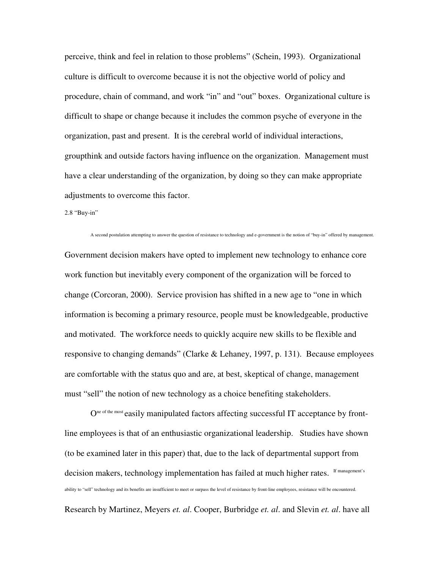perceive, think and feel in relation to those problems" (Schein, 1993). Organizational culture is difficult to overcome because it is not the objective world of policy and procedure, chain of command, and work "in" and "out" boxes. Organizational culture is difficult to shape or change because it includes the common psyche of everyone in the organization, past and present. It is the cerebral world of individual interactions, groupthink and outside factors having influence on the organization. Management must have a clear understanding of the organization, by doing so they can make appropriate adjustments to overcome this factor.

2.8 "Buy-in"

 A second postulation attempting to answer the question of resistance to technology and e-government is the notion of "buy-in" offered by management. Government decision makers have opted to implement new technology to enhance core work function but inevitably every component of the organization will be forced to change (Corcoran, 2000). Service provision has shifted in a new age to "one in which information is becoming a primary resource, people must be knowledgeable, productive and motivated. The workforce needs to quickly acquire new skills to be flexible and responsive to changing demands" (Clarke & Lehaney, 1997, p. 131). Because employees are comfortable with the status quo and are, at best, skeptical of change, management must "sell" the notion of new technology as a choice benefiting stakeholders.

O<sup>ne of the most</sup> easily manipulated factors affecting successful IT acceptance by frontline employees is that of an enthusiastic organizational leadership. Studies have shown (to be examined later in this paper) that, due to the lack of departmental support from decision makers, technology implementation has failed at much higher rates. If management's ability to "sell" technology and its benefits are insufficient to meet or surpass the level of resistance by front-line employees, resistance will be encountered. Research by Martinez, Meyers *et. al*. Cooper, Burbridge *et. al*. and Slevin *et. al*. have all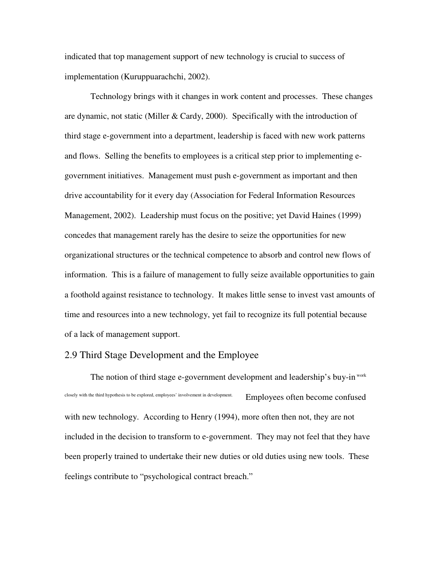indicated that top management support of new technology is crucial to success of implementation (Kuruppuarachchi, 2002).

Technology brings with it changes in work content and processes. These changes are dynamic, not static (Miller & Cardy, 2000). Specifically with the introduction of third stage e-government into a department, leadership is faced with new work patterns and flows. Selling the benefits to employees is a critical step prior to implementing egovernment initiatives. Management must push e-government as important and then drive accountability for it every day (Association for Federal Information Resources Management, 2002). Leadership must focus on the positive; yet David Haines (1999) concedes that management rarely has the desire to seize the opportunities for new organizational structures or the technical competence to absorb and control new flows of information. This is a failure of management to fully seize available opportunities to gain a foothold against resistance to technology. It makes little sense to invest vast amounts of time and resources into a new technology, yet fail to recognize its full potential because of a lack of management support.

### 2.9 Third Stage Development and the Employee

The notion of third stage e-government development and leadership's buy-in work closely with the third hypothesis to be explored, employees' involvement in development. Employees often become confused with new technology. According to Henry (1994), more often then not, they are not included in the decision to transform to e-government. They may not feel that they have been properly trained to undertake their new duties or old duties using new tools. These feelings contribute to "psychological contract breach."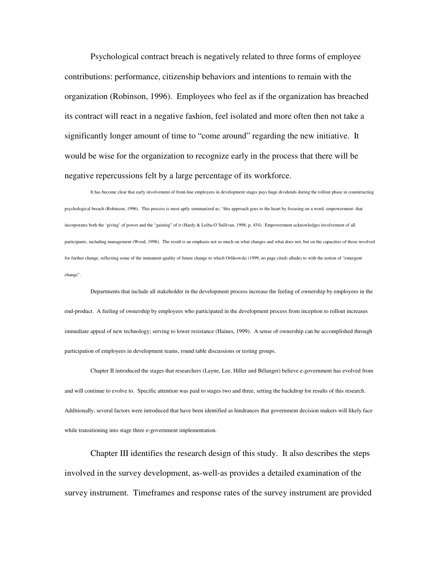Psychological contract breach is negatively related to three forms of employee contributions: performance, citizenship behaviors and intentions to remain with the organization (Robinson, 1996). Employees who feel as if the organization has breached its contract will react in a negative fashion, feel isolated and more often then not take a significantly longer amount of time to "come around" regarding the new initiative. It would be wise for the organization to recognize early in the process that there will be negative repercussions felt by a large percentage of its workforce.

 It has become clear that early involvement of front-line employees in development stages pays huge dividends during the rollout phase in counteracting psychological breach (Robinson, 1996). This process is most aptly summarized as; "this approach goes to the heart by focusing on a word- empowerment- that incorporates both the 'giving' of power and the "gaining" of it (Hardy & Leiba-O'Sullivan, 1998, p. 454). Empowerment acknowledges involvement of all participants, including management (Wood, 1998). The result is an emphasis not so much on what changes and what does not, but on the capacities of those involved for further change, reflecting some of the immanent quality of future change to which Orlikowski (1999, no page cited) alludes to with the notion of "emergent change".

Departments that include all stakeholder in the development process increase the feeling of ownership by employees in the end-product. A feeling of ownership by employees who participated in the development process from inception to rollout increases immediate appeal of new technology; serving to lower resistance (Haines, 1999). A sense of ownership can be accomplished through participation of employees in development teams, round table discussions or testing groups.

Chapter II introduced the stages that researchers (Layne, Lee, Hiller and Bélanger) believe e-government has evolved from and will continue to evolve to. Specific attention was paid to stages two and three, setting the backdrop for results of this research. Additionally, several factors were introduced that have been identified as hindrances that government decision makers will likely face while transitioning into stage three e-government implementation.

Chapter III identifies the research design of this study. It also describes the steps involved in the survey development, as-well-as provides a detailed examination of the survey instrument. Timeframes and response rates of the survey instrument are provided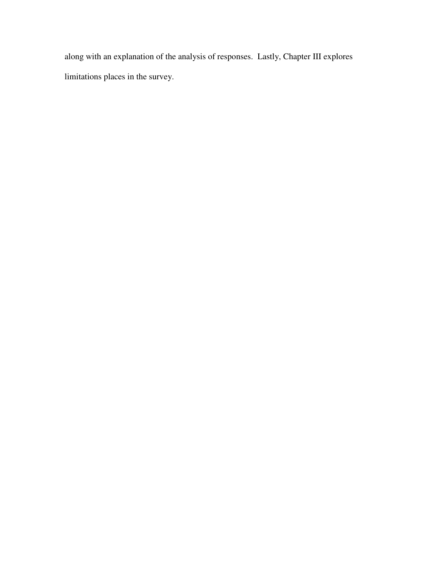along with an explanation of the analysis of responses. Lastly, Chapter III explores limitations places in the survey.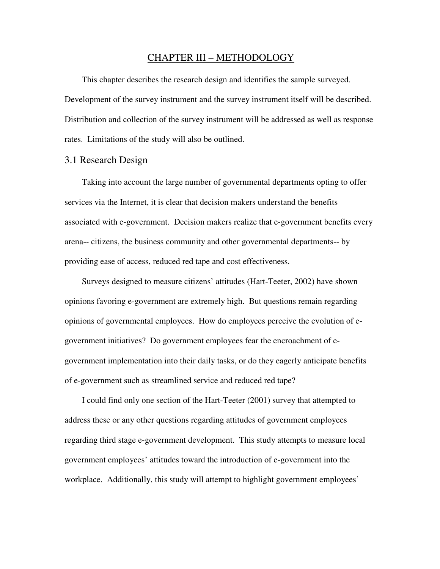#### CHAPTER III – METHODOLOGY

This chapter describes the research design and identifies the sample surveyed. Development of the survey instrument and the survey instrument itself will be described. Distribution and collection of the survey instrument will be addressed as well as response rates. Limitations of the study will also be outlined.

#### 3.1 Research Design

Taking into account the large number of governmental departments opting to offer services via the Internet, it is clear that decision makers understand the benefits associated with e-government. Decision makers realize that e-government benefits every arena-- citizens, the business community and other governmental departments-- by providing ease of access, reduced red tape and cost effectiveness.

Surveys designed to measure citizens' attitudes (Hart-Teeter, 2002) have shown opinions favoring e-government are extremely high. But questions remain regarding opinions of governmental employees. How do employees perceive the evolution of egovernment initiatives? Do government employees fear the encroachment of egovernment implementation into their daily tasks, or do they eagerly anticipate benefits of e-government such as streamlined service and reduced red tape?

I could find only one section of the Hart-Teeter (2001) survey that attempted to address these or any other questions regarding attitudes of government employees regarding third stage e-government development. This study attempts to measure local government employees' attitudes toward the introduction of e-government into the workplace. Additionally, this study will attempt to highlight government employees'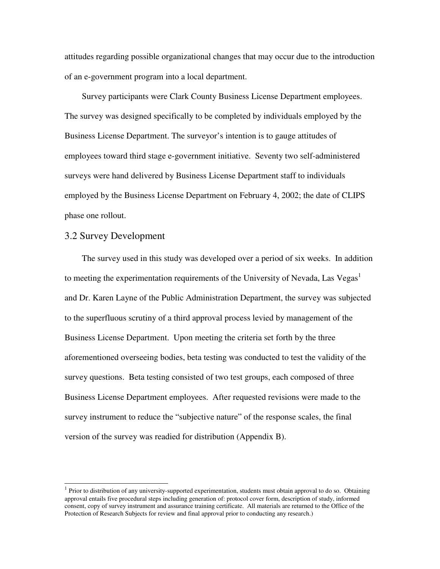attitudes regarding possible organizational changes that may occur due to the introduction of an e-government program into a local department.

Survey participants were Clark County Business License Department employees. The survey was designed specifically to be completed by individuals employed by the Business License Department. The surveyor's intention is to gauge attitudes of employees toward third stage e-government initiative. Seventy two self-administered surveys were hand delivered by Business License Department staff to individuals employed by the Business License Department on February 4, 2002; the date of CLIPS phase one rollout.

### 3.2 Survey Development

-

The survey used in this study was developed over a period of six weeks. In addition to meeting the experimentation requirements of the University of Nevada, Las Vegas<sup>1</sup> and Dr. Karen Layne of the Public Administration Department, the survey was subjected to the superfluous scrutiny of a third approval process levied by management of the Business License Department. Upon meeting the criteria set forth by the three aforementioned overseeing bodies, beta testing was conducted to test the validity of the survey questions. Beta testing consisted of two test groups, each composed of three Business License Department employees. After requested revisions were made to the survey instrument to reduce the "subjective nature" of the response scales, the final version of the survey was readied for distribution (Appendix B).

 $<sup>1</sup>$  Prior to distribution of any university-supported experimentation, students must obtain approval to do so. Obtaining</sup> approval entails five procedural steps including generation of: protocol cover form, description of study, informed consent, copy of survey instrument and assurance training certificate. All materials are returned to the Office of the Protection of Research Subjects for review and final approval prior to conducting any research.)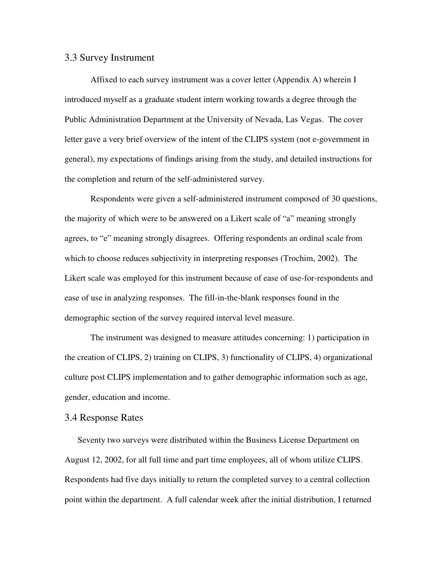#### 3.3 Survey Instrument

 Affixed to each survey instrument was a cover letter (Appendix A) wherein I introduced myself as a graduate student intern working towards a degree through the Public Administration Department at the University of Nevada, Las Vegas. The cover letter gave a very brief overview of the intent of the CLIPS system (not e-government in general), my expectations of findings arising from the study, and detailed instructions for the completion and return of the self-administered survey.

Respondents were given a self-administered instrument composed of 30 questions, the majority of which were to be answered on a Likert scale of "a" meaning strongly agrees, to "e" meaning strongly disagrees. Offering respondents an ordinal scale from which to choose reduces subjectivity in interpreting responses (Trochim, 2002). The Likert scale was employed for this instrument because of ease of use-for-respondents and ease of use in analyzing responses. The fill-in-the-blank responses found in the demographic section of the survey required interval level measure.

 The instrument was designed to measure attitudes concerning: 1) participation in the creation of CLIPS, 2) training on CLIPS, 3) functionality of CLIPS, 4) organizational culture post CLIPS implementation and to gather demographic information such as age, gender, education and income.

### 3.4 Response Rates

Seventy two surveys were distributed within the Business License Department on August 12, 2002, for all full time and part time employees, all of whom utilize CLIPS. Respondents had five days initially to return the completed survey to a central collection point within the department. A full calendar week after the initial distribution, I returned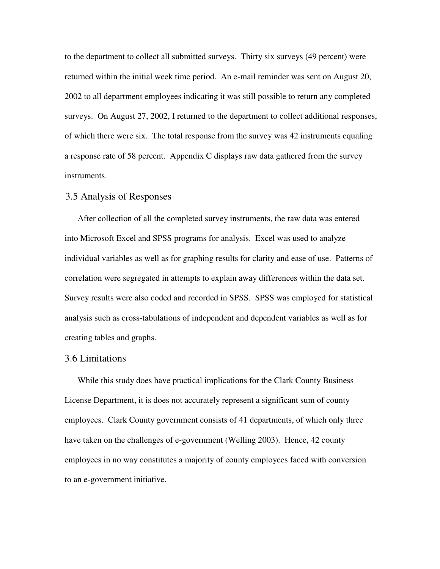to the department to collect all submitted surveys. Thirty six surveys (49 percent) were returned within the initial week time period. An e-mail reminder was sent on August 20, 2002 to all department employees indicating it was still possible to return any completed surveys. On August 27, 2002, I returned to the department to collect additional responses, of which there were six. The total response from the survey was 42 instruments equaling a response rate of 58 percent. Appendix C displays raw data gathered from the survey instruments.

### 3.5 Analysis of Responses

After collection of all the completed survey instruments, the raw data was entered into Microsoft Excel and SPSS programs for analysis. Excel was used to analyze individual variables as well as for graphing results for clarity and ease of use. Patterns of correlation were segregated in attempts to explain away differences within the data set. Survey results were also coded and recorded in SPSS. SPSS was employed for statistical analysis such as cross-tabulations of independent and dependent variables as well as for creating tables and graphs.

### 3.6 Limitations

While this study does have practical implications for the Clark County Business License Department, it is does not accurately represent a significant sum of county employees. Clark County government consists of 41 departments, of which only three have taken on the challenges of e-government (Welling 2003). Hence, 42 county employees in no way constitutes a majority of county employees faced with conversion to an e-government initiative.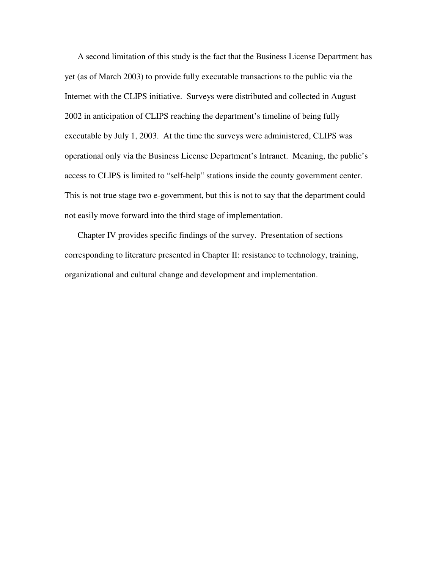A second limitation of this study is the fact that the Business License Department has yet (as of March 2003) to provide fully executable transactions to the public via the Internet with the CLIPS initiative. Surveys were distributed and collected in August 2002 in anticipation of CLIPS reaching the department's timeline of being fully executable by July 1, 2003. At the time the surveys were administered, CLIPS was operational only via the Business License Department's Intranet. Meaning, the public's access to CLIPS is limited to "self-help" stations inside the county government center. This is not true stage two e-government, but this is not to say that the department could not easily move forward into the third stage of implementation.

Chapter IV provides specific findings of the survey. Presentation of sections corresponding to literature presented in Chapter II: resistance to technology, training, organizational and cultural change and development and implementation.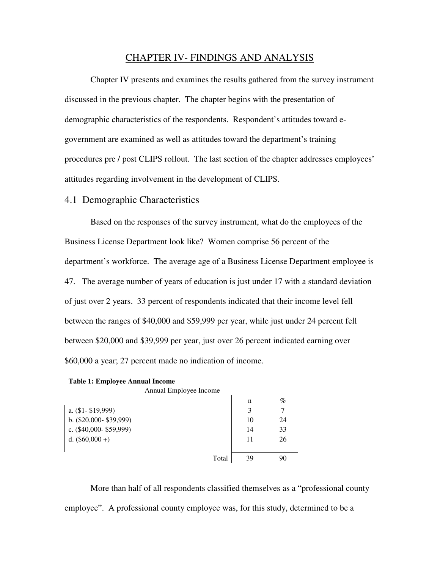### CHAPTER IV- FINDINGS AND ANALYSIS

 Chapter IV presents and examines the results gathered from the survey instrument discussed in the previous chapter. The chapter begins with the presentation of demographic characteristics of the respondents. Respondent's attitudes toward egovernment are examined as well as attitudes toward the department's training procedures pre / post CLIPS rollout. The last section of the chapter addresses employees' attitudes regarding involvement in the development of CLIPS.

#### 4.1 Demographic Characteristics

 Based on the responses of the survey instrument, what do the employees of the Business License Department look like? Women comprise 56 percent of the department's workforce. The average age of a Business License Department employee is 47. The average number of years of education is just under 17 with a standard deviation of just over 2 years. 33 percent of respondents indicated that their income level fell between the ranges of \$40,000 and \$59,999 per year, while just under 24 percent fell between \$20,000 and \$39,999 per year, just over 26 percent indicated earning over \$60,000 a year; 27 percent made no indication of income.

|  | <b>Table 1: Employee Annual Income</b> |  |  |
|--|----------------------------------------|--|--|
|--|----------------------------------------|--|--|

Annual Employee Income

|                            | n  | $\%$ |
|----------------------------|----|------|
| a. $(\$1 - \$19,999)$      |    |      |
| b. $(\$20,000 - \$39,999)$ | 10 | 24   |
| c. $(\$40,000 - \$59,999)$ | 14 | 33   |
| d. $(\$60,000 +)$          | 11 | 26   |
|                            |    |      |
| Total                      | 39 | 90   |

 More than half of all respondents classified themselves as a "professional county employee". A professional county employee was, for this study, determined to be a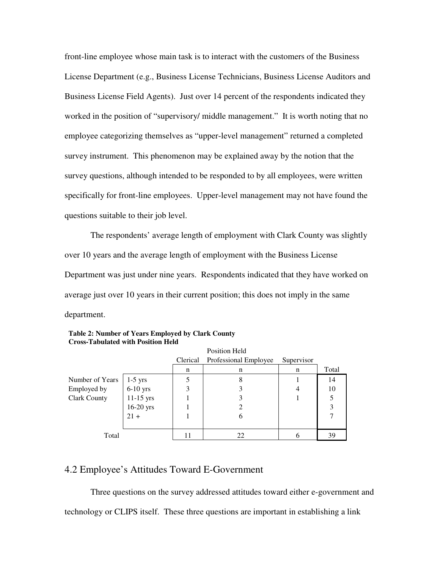front-line employee whose main task is to interact with the customers of the Business License Department (e.g., Business License Technicians, Business License Auditors and Business License Field Agents). Just over 14 percent of the respondents indicated they worked in the position of "supervisory/ middle management." It is worth noting that no employee categorizing themselves as "upper-level management" returned a completed survey instrument. This phenomenon may be explained away by the notion that the survey questions, although intended to be responded to by all employees, were written specifically for front-line employees. Upper-level management may not have found the questions suitable to their job level.

 The respondents' average length of employment with Clark County was slightly over 10 years and the average length of employment with the Business License Department was just under nine years. Respondents indicated that they have worked on average just over 10 years in their current position; this does not imply in the same department.

|                     |             |          | Position Held         |            |       |
|---------------------|-------------|----------|-----------------------|------------|-------|
|                     |             | Clerical | Professional Employee | Supervisor |       |
|                     |             | n        | n                     | n          | Total |
| Number of Years     | $1-5$ yrs   |          | 8                     |            | 14    |
| Employed by         | $6-10$ yrs  | 3        |                       | 4          | 10    |
| <b>Clark County</b> | 11-15 yrs   |          |                       |            |       |
|                     | $16-20$ yrs |          |                       |            | 3     |
|                     | $21 +$      |          | 6                     |            |       |
|                     |             |          |                       |            |       |
| Total               |             | 11       | 22                    |            | 39    |

| <b>Table 2: Number of Years Employed by Clark County</b> |
|----------------------------------------------------------|
| <b>Cross-Tabulated with Position Held</b>                |

### 4.2 Employee's Attitudes Toward E-Government

 Three questions on the survey addressed attitudes toward either e-government and technology or CLIPS itself. These three questions are important in establishing a link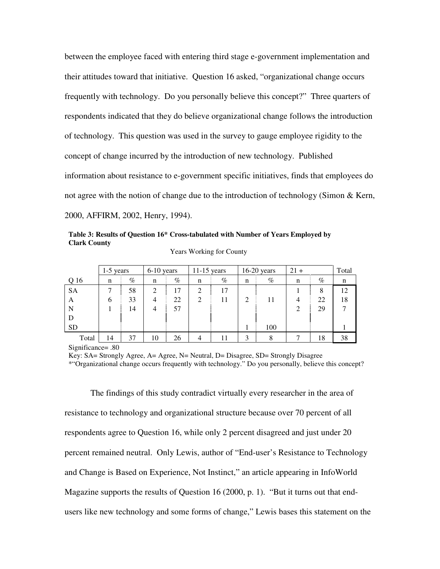between the employee faced with entering third stage e-government implementation and their attitudes toward that initiative. Question 16 asked, "organizational change occurs frequently with technology. Do you personally believe this concept?" Three quarters of respondents indicated that they do believe organizational change follows the introduction of technology. This question was used in the survey to gauge employee rigidity to the concept of change incurred by the introduction of new technology. Published information about resistance to e-government specific initiatives, finds that employees do not agree with the notion of change due to the introduction of technology (Simon & Kern, 2000, AFFIRM, 2002, Henry, 1994).

**Table 3: Results of Question 16\* Cross-tabulated with Number of Years Employed by Clark County** 

|           | $1-5$ years |      | 6-10 years     |      | $11-15$ years  |      |                | $16-20$ years | $21 +$         |      | Total |
|-----------|-------------|------|----------------|------|----------------|------|----------------|---------------|----------------|------|-------|
| Q 16      | n           | $\%$ | n              | $\%$ | n              | $\%$ | $\mathbf n$    | $\%$          | n              | $\%$ | n     |
| <b>SA</b> |             | 58   | $\overline{2}$ | 17   | 2              | 17   |                |               |                | 8    | 12    |
| A         | 6           | 33   | $\overline{4}$ | 22   | $\overline{2}$ | 11   | $\overline{2}$ | 11            | 4              | 22   | 18    |
| N         |             | 14   | $\overline{4}$ | 57   |                |      |                |               | $\overline{2}$ | 29   |       |
| D         |             |      |                |      |                |      |                |               |                |      |       |
| <b>SD</b> |             |      |                |      |                |      |                | 100           |                |      |       |
| Total     | 14          | 37   | 10             | 26   |                |      | 3              | 8             |                | 18   | 38    |

Years Working for County

Significance= .80

Key: SA= Strongly Agree, A= Agree, N= Neutral, D= Disagree, SD= Strongly Disagree

\*"Organizational change occurs frequently with technology." Do you personally, believe this concept?

The findings of this study contradict virtually every researcher in the area of resistance to technology and organizational structure because over 70 percent of all respondents agree to Question 16, while only 2 percent disagreed and just under 20 percent remained neutral. Only Lewis, author of "End-user's Resistance to Technology and Change is Based on Experience, Not Instinct," an article appearing in InfoWorld Magazine supports the results of Question 16 (2000, p. 1). "But it turns out that endusers like new technology and some forms of change," Lewis bases this statement on the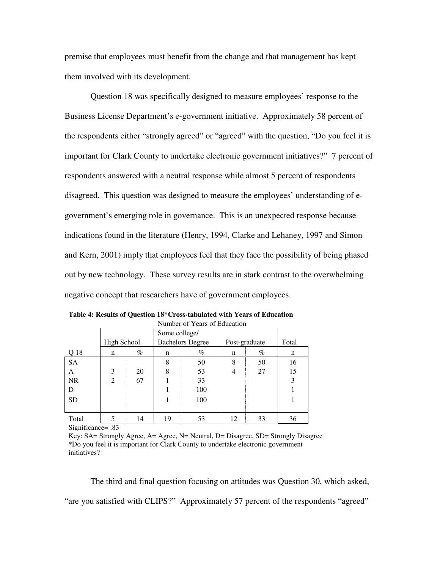premise that employees must benefit from the change and that management has kept them involved with its development.

 Question 18 was specifically designed to measure employees' response to the Business License Department's e-government initiative. Approximately 58 percent of the respondents either "strongly agreed" or "agreed" with the question, "Do you feel it is important for Clark County to undertake electronic government initiatives?" 7 percent of respondents answered with a neutral response while almost 5 percent of respondents disagreed. This question was designed to measure the employees' understanding of egovernment's emerging role in governance. This is an unexpected response because indications found in the literature (Henry, 1994, Clarke and Lehaney, 1997 and Simon and Kern, 2001) imply that employees feel that they face the possibility of being phased out by new technology. These survey results are in stark contrast to the overwhelming negative concept that researchers have of government employees.

| Number of Years of Education |             |      |               |                         |               |      |       |  |  |
|------------------------------|-------------|------|---------------|-------------------------|---------------|------|-------|--|--|
|                              |             |      | Some college/ |                         |               |      |       |  |  |
|                              | High School |      |               | <b>Bachelors Degree</b> | Post-graduate |      | Total |  |  |
| Q 18                         | n           | $\%$ | n             | $\%$                    | n             | $\%$ | n     |  |  |
| <b>SA</b>                    |             |      | 8             | 50                      | 8             | 50   | 16    |  |  |
| A                            | 3           | 20   | 8             | 53                      |               | 27   | 15    |  |  |
| <b>NR</b>                    | 2           | 67   |               | 33                      |               |      | 3     |  |  |
| D                            |             |      |               | 100                     |               |      |       |  |  |
| <b>SD</b>                    |             |      |               | 100                     |               |      |       |  |  |
|                              |             |      |               |                         |               |      |       |  |  |
| Total                        | 5           | 14   | 19            | 53                      | 12            | 33   | 36    |  |  |

**Table 4: Results of Question 18\*Cross-tabulated with Years of Education** 

Significance= .83

Key: SA= Strongly Agree, A= Agree, N= Neutral, D= Disagree, SD= Strongly Disagree \*Do you feel it is important for Clark County to undertake electronic government initiatives?

 The third and final question focusing on attitudes was Question 30, which asked, "are you satisfied with CLIPS?" Approximately 57 percent of the respondents "agreed"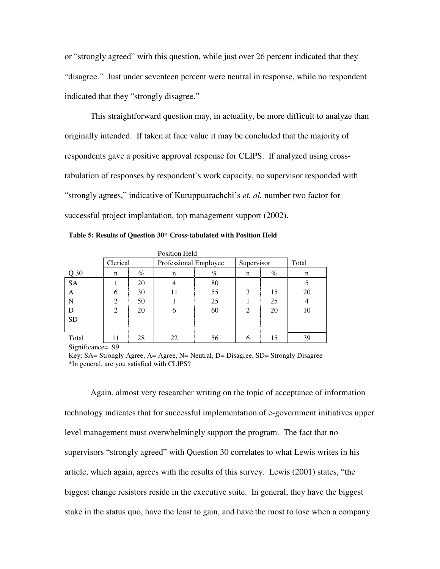or "strongly agreed" with this question, while just over 26 percent indicated that they "disagree." Just under seventeen percent were neutral in response, while no respondent indicated that they "strongly disagree."

 This straightforward question may, in actuality, be more difficult to analyze than originally intended. If taken at face value it may be concluded that the majority of respondents gave a positive approval response for CLIPS. If analyzed using crosstabulation of responses by respondent's work capacity, no supervisor responded with "strongly agrees," indicative of Kuruppuarachchi's *et. al.* number two factor for successful project implantation, top management support (2002).

| <b>Position Held</b> |                |      |                       |      |                |      |       |  |  |
|----------------------|----------------|------|-----------------------|------|----------------|------|-------|--|--|
|                      | Clerical       |      | Professional Employee |      | Supervisor     |      | Total |  |  |
| Q 30                 | n              | $\%$ | n                     | $\%$ | n              | $\%$ | n     |  |  |
| <b>SA</b>            |                | 20   |                       | 80   |                |      |       |  |  |
| А                    | 6              | 30   |                       | 55   | 3              | 15   | 20    |  |  |
| N                    | 2              | 50   |                       | 25   |                | 25   | 4     |  |  |
| D                    | $\overline{2}$ | 20   | 6                     | 60   | $\mathfrak{D}$ | 20   | 10    |  |  |
| <b>SD</b>            |                |      |                       |      |                |      |       |  |  |
|                      |                |      |                       |      |                |      |       |  |  |
| Total                |                | 28   | 22                    | 56   |                | 15   | 39    |  |  |

Significance= .99

 Again, almost very researcher writing on the topic of acceptance of information technology indicates that for successful implementation of e-government initiatives upper level management must overwhelmingly support the program. The fact that no supervisors "strongly agreed" with Question 30 correlates to what Lewis writes in his article, which again, agrees with the results of this survey. Lewis (2001) states, "the biggest change resistors reside in the executive suite. In general, they have the biggest stake in the status quo, have the least to gain, and have the most to lose when a company

Key: SA= Strongly Agree, A= Agree, N= Neutral, D= Disagree, SD= Strongly Disagree \*In general, are you satisfied with CLIPS?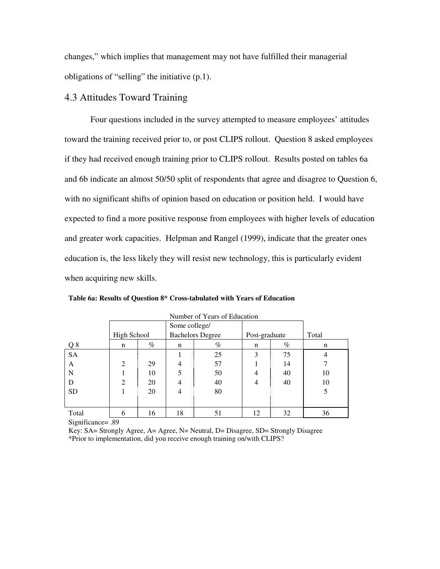changes," which implies that management may not have fulfilled their managerial obligations of "selling" the initiative (p.1).

### 4.3 Attitudes Toward Training

 Four questions included in the survey attempted to measure employees' attitudes toward the training received prior to, or post CLIPS rollout. Question 8 asked employees if they had received enough training prior to CLIPS rollout. Results posted on tables 6a and 6b indicate an almost 50/50 split of respondents that agree and disagree to Question 6, with no significant shifts of opinion based on education or position held. I would have expected to find a more positive response from employees with higher levels of education and greater work capacities. Helpman and Rangel (1999), indicate that the greater ones education is, the less likely they will resist new technology, this is particularly evident when acquiring new skills.

|           |                |      | Some college/ |                         |               |      |       |
|-----------|----------------|------|---------------|-------------------------|---------------|------|-------|
|           | High School    |      |               | <b>Bachelors Degree</b> | Post-graduate |      | Total |
| Q8        | n              | $\%$ | n             | $\%$                    | n             | $\%$ | n     |
| <b>SA</b> |                |      |               | 25                      | 3             | 75   | 4     |
| A         | $\overline{2}$ | 29   | 4             | 57                      |               | 14   |       |
| N         |                | 10   |               | 50                      | 4             | 40   | 10    |
| D         | $\overline{2}$ | 20   | 4             | 40                      | 4             | 40   | 10    |
| <b>SD</b> |                | 20   | 4             | 80                      |               |      | 5     |
|           |                |      |               |                         |               |      |       |
| Total     | 6              | 16   | 18            | 51                      | 12            | 32   | 36    |

Number of Years of Education

**Table 6a: Results of Question 8\* Cross-tabulated with Years of Education** 

Significance= .89

Key: SA= Strongly Agree, A= Agree, N= Neutral, D= Disagree, SD= Strongly Disagree \*Prior to implementation, did you receive enough training on/with CLIPS?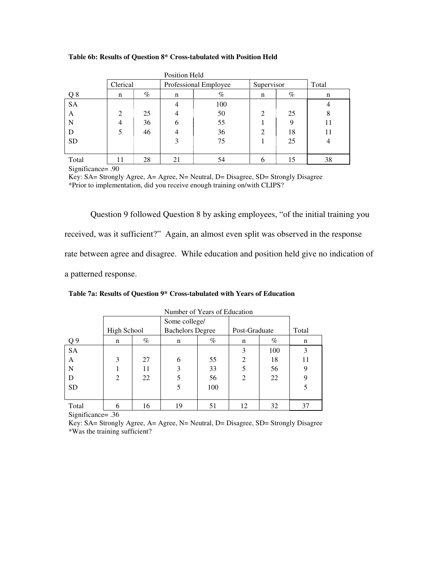#### **Table 6b: Results of Question 8\* Cross-tabulated with Position Held**

|           |                |      | Position Held |                       |            |      |       |
|-----------|----------------|------|---------------|-----------------------|------------|------|-------|
|           | Clerical       |      |               | Professional Employee | Supervisor |      | Total |
| Q8        | n              | $\%$ | n             | $\%$                  | n          | $\%$ | n     |
| <b>SA</b> |                |      |               | 100                   |            |      |       |
| A         | $\overline{2}$ | 25   |               | 50                    | 2          | 25   | 8     |
| N         | 4              | 36   | 6             | 55                    |            | Q    |       |
| D         | 5              | 46   |               | 36                    | 2          | 18   |       |
| <b>SD</b> |                |      | 3             | 75                    |            | 25   |       |
|           |                |      |               |                       |            |      |       |
| Total     | 11             | 28   | 21            | 54                    | 6          | 15   | 38    |

Significance= .90

Key: SA= Strongly Agree, A= Agree, N= Neutral, D= Disagree, SD= Strongly Disagree \*Prior to implementation, did you receive enough training on/with CLIPS?

 Question 9 followed Question 8 by asking employees, "of the initial training you received, was it sufficient?" Again, an almost even split was observed in the response rate between agree and disagree. While education and position held give no indication of a patterned response.

| Table 7a: Results of Question 9* Cross-tabulated with Years of Education |  |  |
|--------------------------------------------------------------------------|--|--|
|--------------------------------------------------------------------------|--|--|

|                | Tammoci of Teats of Equeation |      |                         |               |                |      |       |  |  |  |
|----------------|-------------------------------|------|-------------------------|---------------|----------------|------|-------|--|--|--|
|                |                               |      |                         | Some college/ |                |      |       |  |  |  |
|                | <b>High School</b>            |      | <b>Bachelors Degree</b> |               | Post-Graduate  |      | Total |  |  |  |
| Q <sub>9</sub> | n                             | $\%$ | n                       | %             | n              | $\%$ | n     |  |  |  |
| <b>SA</b>      |                               |      |                         |               | 3              | 100  | 3     |  |  |  |
| A              | 3                             | 27   | 6                       | 55            | $\overline{c}$ | 18   | 11    |  |  |  |
| N              |                               | 11   | 3                       | 33            | 5              | 56   | 9     |  |  |  |
| D              | $\overline{2}$                | 22   |                         | 56            | $\overline{2}$ | 22   | 9     |  |  |  |
| <b>SD</b>      |                               |      |                         | 100           |                |      |       |  |  |  |
|                |                               |      |                         |               |                |      |       |  |  |  |
| Total          | 6                             | 16   | 19                      | 51            | 12             | 32   | 37    |  |  |  |

Number of Years of Education

Significance= .36

Key: SA= Strongly Agree, A= Agree, N= Neutral, D= Disagree, SD= Strongly Disagree \*Was the training sufficient?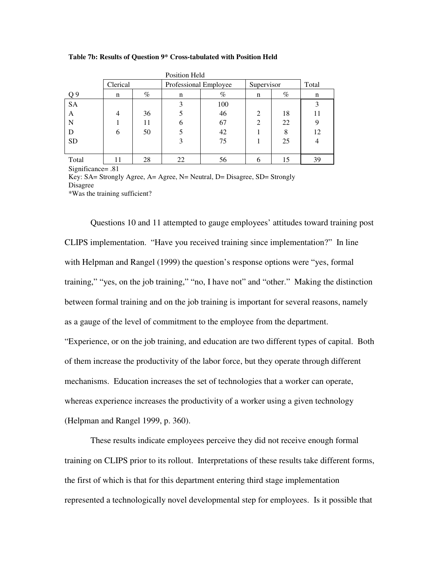#### **Table 7b: Results of Question 9\* Cross-tabulated with Position Held**

| Position Held |                |      |                       |      |                |       |    |  |
|---------------|----------------|------|-----------------------|------|----------------|-------|----|--|
|               | Clerical       |      | Professional Employee |      | Supervisor     | Total |    |  |
| Q9            | n              | $\%$ | n                     | $\%$ | n              | $\%$  | n  |  |
| <b>SA</b>     |                |      | 3                     | 100  |                |       |    |  |
| A             | $\overline{4}$ | 36   |                       | 46   | $\mathfrak{D}$ | 18    |    |  |
| N             |                | 11   | 6                     | 67   | $\mathfrak{D}$ | 22    | 9  |  |
| Ð             | 6              | 50   |                       | 42   |                | 8     | 12 |  |
| <b>SD</b>     |                |      | 3                     | 75   |                | 25    | 4  |  |
|               |                |      |                       |      |                |       |    |  |
| Total         |                | 28   | 22                    | 56   | 6              | 15    | 39 |  |

Significance= .81

Key: SA= Strongly Agree, A= Agree, N= Neutral, D= Disagree, SD= Strongly Disagree

\*Was the training sufficient?

 Questions 10 and 11 attempted to gauge employees' attitudes toward training post CLIPS implementation. "Have you received training since implementation?" In line with Helpman and Rangel (1999) the question's response options were "yes, formal training," "yes, on the job training," "no, I have not" and "other." Making the distinction between formal training and on the job training is important for several reasons, namely as a gauge of the level of commitment to the employee from the department. "Experience, or on the job training, and education are two different types of capital. Both of them increase the productivity of the labor force, but they operate through different mechanisms. Education increases the set of technologies that a worker can operate, whereas experience increases the productivity of a worker using a given technology (Helpman and Rangel 1999, p. 360).

 These results indicate employees perceive they did not receive enough formal training on CLIPS prior to its rollout. Interpretations of these results take different forms, the first of which is that for this department entering third stage implementation represented a technologically novel developmental step for employees. Is it possible that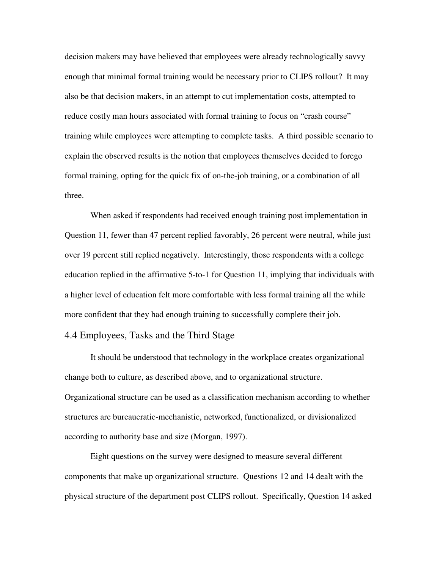decision makers may have believed that employees were already technologically savvy enough that minimal formal training would be necessary prior to CLIPS rollout? It may also be that decision makers, in an attempt to cut implementation costs, attempted to reduce costly man hours associated with formal training to focus on "crash course" training while employees were attempting to complete tasks. A third possible scenario to explain the observed results is the notion that employees themselves decided to forego formal training, opting for the quick fix of on-the-job training, or a combination of all three.

 When asked if respondents had received enough training post implementation in Question 11, fewer than 47 percent replied favorably, 26 percent were neutral, while just over 19 percent still replied negatively. Interestingly, those respondents with a college education replied in the affirmative 5-to-1 for Question 11, implying that individuals with a higher level of education felt more comfortable with less formal training all the while more confident that they had enough training to successfully complete their job.

### 4.4 Employees, Tasks and the Third Stage

 It should be understood that technology in the workplace creates organizational change both to culture, as described above, and to organizational structure. Organizational structure can be used as a classification mechanism according to whether structures are bureaucratic-mechanistic, networked, functionalized, or divisionalized according to authority base and size (Morgan, 1997).

 Eight questions on the survey were designed to measure several different components that make up organizational structure. Questions 12 and 14 dealt with the physical structure of the department post CLIPS rollout. Specifically, Question 14 asked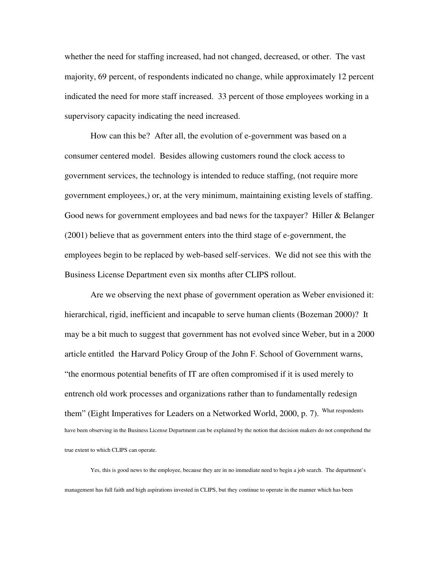whether the need for staffing increased, had not changed, decreased, or other. The vast majority, 69 percent, of respondents indicated no change, while approximately 12 percent indicated the need for more staff increased. 33 percent of those employees working in a supervisory capacity indicating the need increased.

 How can this be? After all, the evolution of e-government was based on a consumer centered model. Besides allowing customers round the clock access to government services, the technology is intended to reduce staffing, (not require more government employees,) or, at the very minimum, maintaining existing levels of staffing. Good news for government employees and bad news for the taxpayer? Hiller & Belanger (2001) believe that as government enters into the third stage of e-government, the employees begin to be replaced by web-based self-services. We did not see this with the Business License Department even six months after CLIPS rollout.

 Are we observing the next phase of government operation as Weber envisioned it: hierarchical, rigid, inefficient and incapable to serve human clients (Bozeman 2000)? It may be a bit much to suggest that government has not evolved since Weber, but in a 2000 article entitled the Harvard Policy Group of the John F. School of Government warns, "the enormous potential benefits of IT are often compromised if it is used merely to entrench old work processes and organizations rather than to fundamentally redesign them" (Eight Imperatives for Leaders on a Networked World, 2000, p. 7). What respondents have been observing in the Business License Department can be explained by the notion that decision makers do not comprehend the true extent to which CLIPS can operate.

 Yes, this is good news to the employee, because they are in no immediate need to begin a job search. The department's management has full faith and high aspirations invested in CLIPS, but they continue to operate in the manner which has been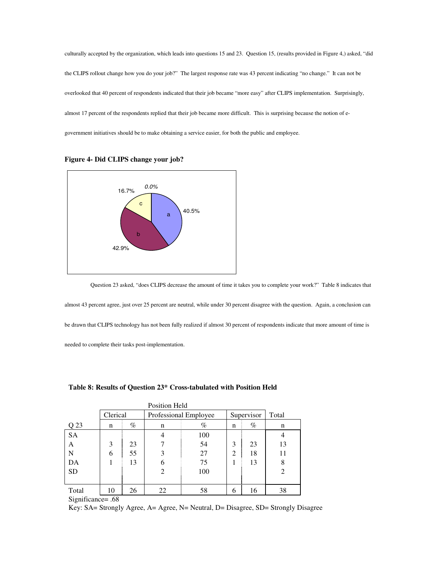culturally accepted by the organization, which leads into questions 15 and 23. Question 15, (results provided in Figure 4,) asked, "did the CLIPS rollout change how you do your job?" The largest response rate was 43 percent indicating "no change." It can not be overlooked that 40 percent of respondents indicated that their job became "more easy" after CLIPS implementation. Surprisingly, almost 17 percent of the respondents replied that their job became more difficult. This is surprising because the notion of egovernment initiatives should be to make obtaining a service easier, for both the public and employee.



**Figure 4- Did CLIPS change your job?** 



almost 43 percent agree, just over 25 percent are neutral, while under 30 percent disagree with the question. Again, a conclusion can be drawn that CLIPS technology has not been fully realized if almost 30 percent of respondents indicate that more amount of time is

needed to complete their tasks post-implementation.

| Position Held |          |      |                |                       |   |            |                |  |  |
|---------------|----------|------|----------------|-----------------------|---|------------|----------------|--|--|
|               | Clerical |      |                | Professional Employee |   | Supervisor | Total          |  |  |
| Q 23          | n        | $\%$ | n              | $\%$                  | n | $\%$       | n              |  |  |
| <b>SA</b>     |          |      | $\overline{4}$ | 100                   |   |            | 4              |  |  |
| А             | 3        | 23   |                | 54                    | 3 | 23         | 13             |  |  |
| N             | 6        | 55   | 3              | 27                    | 2 | 18         | 11             |  |  |
| DA            |          | 13   | 6              | 75                    | 1 | 13         | 8              |  |  |
| <b>SD</b>     |          |      | $\overline{2}$ | 100                   |   |            | $\overline{2}$ |  |  |
|               |          |      |                |                       |   |            |                |  |  |
| Total         | 10       | 26   | 22             | 58                    | 6 | 16         | 38             |  |  |

#### **Table 8: Results of Question 23\* Cross-tabulated with Position Held**

#### Significance= .68

Key: SA= Strongly Agree, A= Agree, N= Neutral, D= Disagree, SD= Strongly Disagree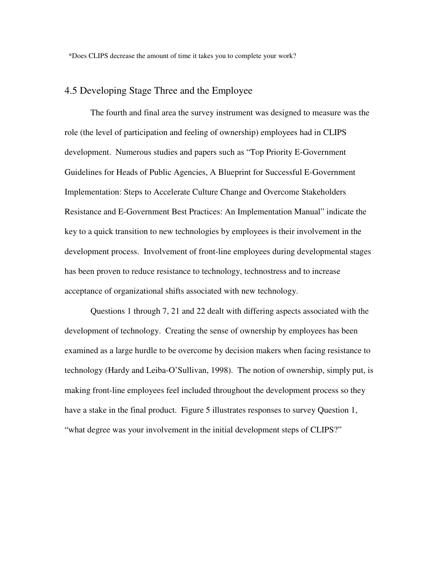### 4.5 Developing Stage Three and the Employee

 The fourth and final area the survey instrument was designed to measure was the role (the level of participation and feeling of ownership) employees had in CLIPS development. Numerous studies and papers such as "Top Priority E-Government Guidelines for Heads of Public Agencies, A Blueprint for Successful E-Government Implementation: Steps to Accelerate Culture Change and Overcome Stakeholders Resistance and E-Government Best Practices: An Implementation Manual" indicate the key to a quick transition to new technologies by employees is their involvement in the development process. Involvement of front-line employees during developmental stages has been proven to reduce resistance to technology, technostress and to increase acceptance of organizational shifts associated with new technology.

 Questions 1 through 7, 21 and 22 dealt with differing aspects associated with the development of technology. Creating the sense of ownership by employees has been examined as a large hurdle to be overcome by decision makers when facing resistance to technology (Hardy and Leiba-O'Sullivan, 1998). The notion of ownership, simply put, is making front-line employees feel included throughout the development process so they have a stake in the final product. Figure 5 illustrates responses to survey Question 1, "what degree was your involvement in the initial development steps of CLIPS?"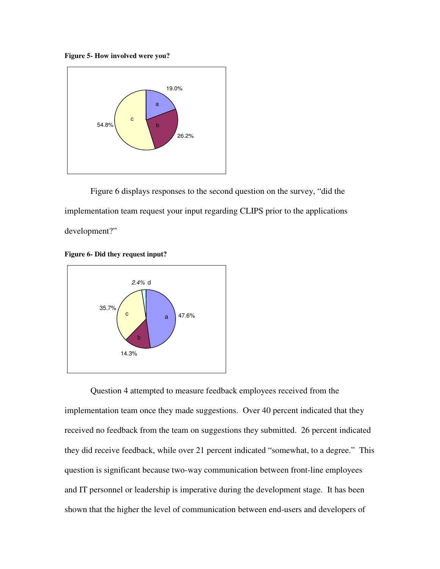**Figure 5- How involved were you?** 



 Figure 6 displays responses to the second question on the survey, "did the implementation team request your input regarding CLIPS prior to the applications development?"

**Figure 6- Did they request input?** 



 Question 4 attempted to measure feedback employees received from the implementation team once they made suggestions. Over 40 percent indicated that they received no feedback from the team on suggestions they submitted. 26 percent indicated they did receive feedback, while over 21 percent indicated "somewhat, to a degree." This question is significant because two-way communication between front-line employees and IT personnel or leadership is imperative during the development stage. It has been shown that the higher the level of communication between end-users and developers of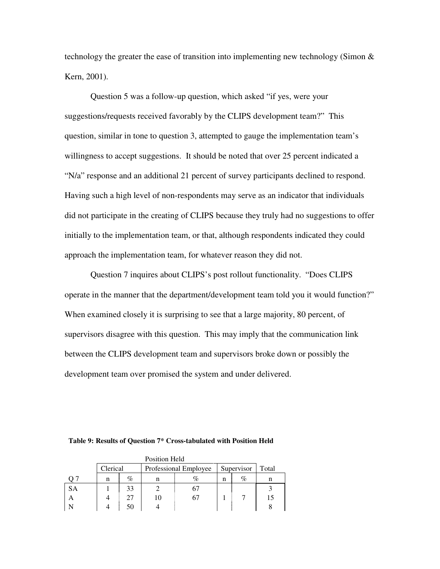technology the greater the ease of transition into implementing new technology (Simon  $\&$ Kern, 2001).

Question 5 was a follow-up question, which asked "if yes, were your suggestions/requests received favorably by the CLIPS development team?" This question, similar in tone to question 3, attempted to gauge the implementation team's willingness to accept suggestions. It should be noted that over 25 percent indicated a "N/a" response and an additional 21 percent of survey participants declined to respond. Having such a high level of non-respondents may serve as an indicator that individuals did not participate in the creating of CLIPS because they truly had no suggestions to offer initially to the implementation team, or that, although respondents indicated they could approach the implementation team, for whatever reason they did not.

 Question 7 inquires about CLIPS's post rollout functionality. "Does CLIPS operate in the manner that the department/development team told you it would function?" When examined closely it is surprising to see that a large majority, 80 percent, of supervisors disagree with this question. This may imply that the communication link between the CLIPS development team and supervisors broke down or possibly the development team over promised the system and under delivered.

| Position Held |          |    |    |                                     |   |      |    |  |  |
|---------------|----------|----|----|-------------------------------------|---|------|----|--|--|
|               | Clerical |    |    | Professional Employee<br>Supervisor |   |      |    |  |  |
|               | n        | %  |    |                                     | n | $\%$ | n  |  |  |
| <b>SA</b>     |          | 33 |    | b.                                  |   |      |    |  |  |
|               |          | 27 | 10 | 67                                  |   |      | 15 |  |  |
|               |          | 50 |    |                                     |   |      |    |  |  |

**Table 9: Results of Question 7\* Cross-tabulated with Position Held**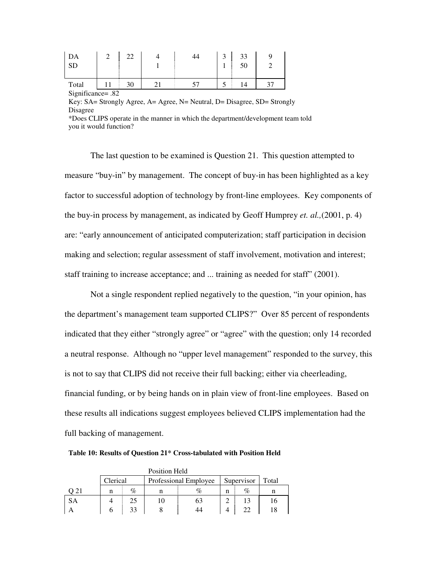| DA<br>SD          | 22 | 44 | ◠ | 33<br>50 |  |
|-------------------|----|----|---|----------|--|
| Total             |    |    |   | 14       |  |
| Significance= .82 |    |    |   |          |  |

Key: SA= Strongly Agree, A= Agree, N= Neutral, D= Disagree, SD= Strongly Disagree

\*Does CLIPS operate in the manner in which the department/development team told you it would function?

 The last question to be examined is Question 21. This question attempted to measure "buy-in" by management. The concept of buy-in has been highlighted as a key factor to successful adoption of technology by front-line employees. Key components of the buy-in process by management, as indicated by Geoff Humprey *et. al.,*(2001, p. 4) are: "early announcement of anticipated computerization; staff participation in decision making and selection; regular assessment of staff involvement, motivation and interest; staff training to increase acceptance; and ... training as needed for staff" (2001).

Not a single respondent replied negatively to the question, "in your opinion, has the department's management team supported CLIPS?" Over 85 percent of respondents indicated that they either "strongly agree" or "agree" with the question; only 14 recorded a neutral response. Although no "upper level management" responded to the survey, this is not to say that CLIPS did not receive their full backing; either via cheerleading, financial funding, or by being hands on in plain view of front-line employees. Based on these results all indications suggest employees believed CLIPS implementation had the full backing of management.

**Table 10: Results of Question 21\* Cross-tabulated with Position Held** 

|      |                                                 |    | Position Held |      |   |       |    |
|------|-------------------------------------------------|----|---------------|------|---|-------|----|
|      | Clerical<br>Supervisor<br>Professional Employee |    |               |      |   | Total |    |
| ) 21 | n                                               | %  | n             | $\%$ | n | %     |    |
| SА   |                                                 | 25 | 10            | 63   |   |       | 16 |
|      |                                                 | 33 | ŏ             | 44   |   |       | 18 |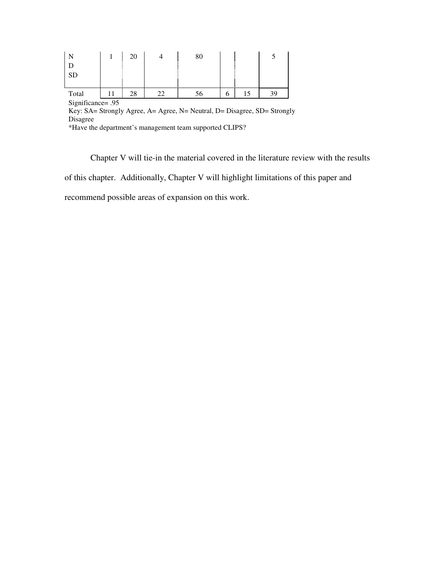|                   |  | 20 |  | 80 |   |  |    |
|-------------------|--|----|--|----|---|--|----|
|                   |  |    |  |    |   |  |    |
| <b>SD</b>         |  |    |  |    |   |  |    |
|                   |  |    |  |    |   |  |    |
| Total             |  | 28 |  | Эb | n |  | 39 |
| Significance= .95 |  |    |  |    |   |  |    |

Key: SA= Strongly Agree, A= Agree, N= Neutral, D= Disagree, SD= Strongly Disagree

\*Have the department's management team supported CLIPS?

 Chapter V will tie-in the material covered in the literature review with the results of this chapter. Additionally, Chapter V will highlight limitations of this paper and recommend possible areas of expansion on this work.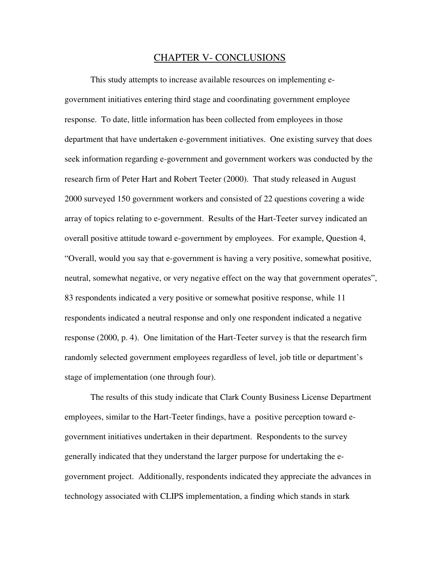#### CHAPTER V- CONCLUSIONS

 This study attempts to increase available resources on implementing egovernment initiatives entering third stage and coordinating government employee response. To date, little information has been collected from employees in those department that have undertaken e-government initiatives. One existing survey that does seek information regarding e-government and government workers was conducted by the research firm of Peter Hart and Robert Teeter (2000). That study released in August 2000 surveyed 150 government workers and consisted of 22 questions covering a wide array of topics relating to e-government. Results of the Hart-Teeter survey indicated an overall positive attitude toward e-government by employees. For example, Question 4, "Overall, would you say that e-government is having a very positive, somewhat positive, neutral, somewhat negative, or very negative effect on the way that government operates", 83 respondents indicated a very positive or somewhat positive response, while 11 respondents indicated a neutral response and only one respondent indicated a negative response (2000, p. 4). One limitation of the Hart-Teeter survey is that the research firm randomly selected government employees regardless of level, job title or department's stage of implementation (one through four).

 The results of this study indicate that Clark County Business License Department employees, similar to the Hart-Teeter findings, have a positive perception toward egovernment initiatives undertaken in their department. Respondents to the survey generally indicated that they understand the larger purpose for undertaking the egovernment project. Additionally, respondents indicated they appreciate the advances in technology associated with CLIPS implementation, a finding which stands in stark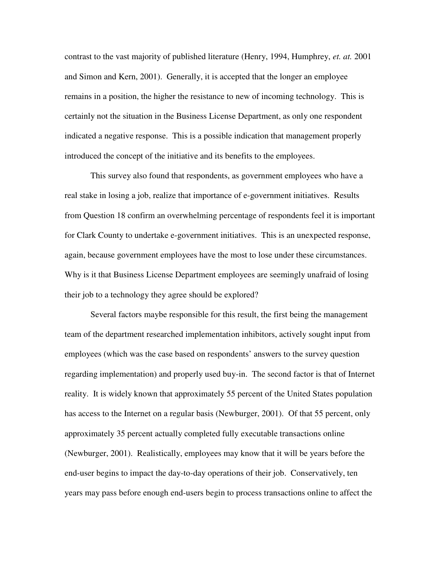contrast to the vast majority of published literature (Henry, 1994, Humphrey, *et. at.* 2001 and Simon and Kern, 2001). Generally, it is accepted that the longer an employee remains in a position, the higher the resistance to new of incoming technology. This is certainly not the situation in the Business License Department, as only one respondent indicated a negative response. This is a possible indication that management properly introduced the concept of the initiative and its benefits to the employees.

 This survey also found that respondents, as government employees who have a real stake in losing a job, realize that importance of e-government initiatives. Results from Question 18 confirm an overwhelming percentage of respondents feel it is important for Clark County to undertake e-government initiatives. This is an unexpected response, again, because government employees have the most to lose under these circumstances. Why is it that Business License Department employees are seemingly unafraid of losing their job to a technology they agree should be explored?

 Several factors maybe responsible for this result, the first being the management team of the department researched implementation inhibitors, actively sought input from employees (which was the case based on respondents' answers to the survey question regarding implementation) and properly used buy-in. The second factor is that of Internet reality. It is widely known that approximately 55 percent of the United States population has access to the Internet on a regular basis (Newburger, 2001). Of that 55 percent, only approximately 35 percent actually completed fully executable transactions online (Newburger, 2001). Realistically, employees may know that it will be years before the end-user begins to impact the day-to-day operations of their job. Conservatively, ten years may pass before enough end-users begin to process transactions online to affect the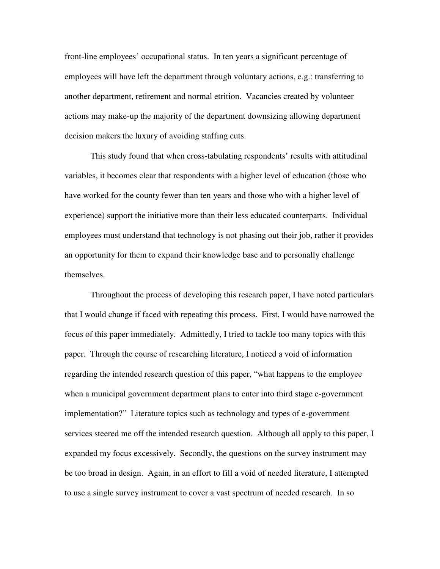front-line employees' occupational status. In ten years a significant percentage of employees will have left the department through voluntary actions, e.g.: transferring to another department, retirement and normal etrition. Vacancies created by volunteer actions may make-up the majority of the department downsizing allowing department decision makers the luxury of avoiding staffing cuts.

 This study found that when cross-tabulating respondents' results with attitudinal variables, it becomes clear that respondents with a higher level of education (those who have worked for the county fewer than ten years and those who with a higher level of experience) support the initiative more than their less educated counterparts. Individual employees must understand that technology is not phasing out their job, rather it provides an opportunity for them to expand their knowledge base and to personally challenge themselves.

 Throughout the process of developing this research paper, I have noted particulars that I would change if faced with repeating this process. First, I would have narrowed the focus of this paper immediately. Admittedly, I tried to tackle too many topics with this paper. Through the course of researching literature, I noticed a void of information regarding the intended research question of this paper, "what happens to the employee when a municipal government department plans to enter into third stage e-government implementation?" Literature topics such as technology and types of e-government services steered me off the intended research question. Although all apply to this paper, I expanded my focus excessively. Secondly, the questions on the survey instrument may be too broad in design. Again, in an effort to fill a void of needed literature, I attempted to use a single survey instrument to cover a vast spectrum of needed research. In so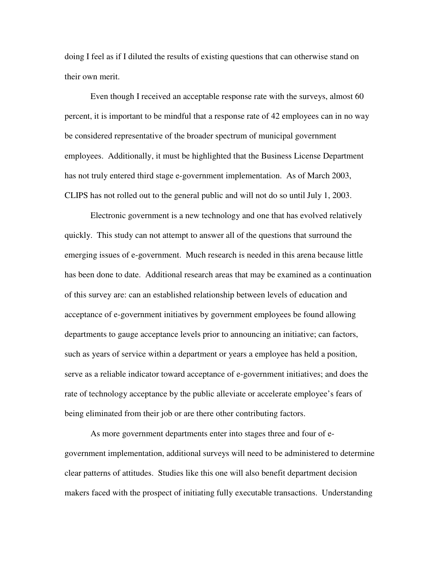doing I feel as if I diluted the results of existing questions that can otherwise stand on their own merit.

 Even though I received an acceptable response rate with the surveys, almost 60 percent, it is important to be mindful that a response rate of 42 employees can in no way be considered representative of the broader spectrum of municipal government employees. Additionally, it must be highlighted that the Business License Department has not truly entered third stage e-government implementation. As of March 2003, CLIPS has not rolled out to the general public and will not do so until July 1, 2003.

 Electronic government is a new technology and one that has evolved relatively quickly. This study can not attempt to answer all of the questions that surround the emerging issues of e-government. Much research is needed in this arena because little has been done to date. Additional research areas that may be examined as a continuation of this survey are: can an established relationship between levels of education and acceptance of e-government initiatives by government employees be found allowing departments to gauge acceptance levels prior to announcing an initiative; can factors, such as years of service within a department or years a employee has held a position, serve as a reliable indicator toward acceptance of e-government initiatives; and does the rate of technology acceptance by the public alleviate or accelerate employee's fears of being eliminated from their job or are there other contributing factors.

 As more government departments enter into stages three and four of egovernment implementation, additional surveys will need to be administered to determine clear patterns of attitudes. Studies like this one will also benefit department decision makers faced with the prospect of initiating fully executable transactions. Understanding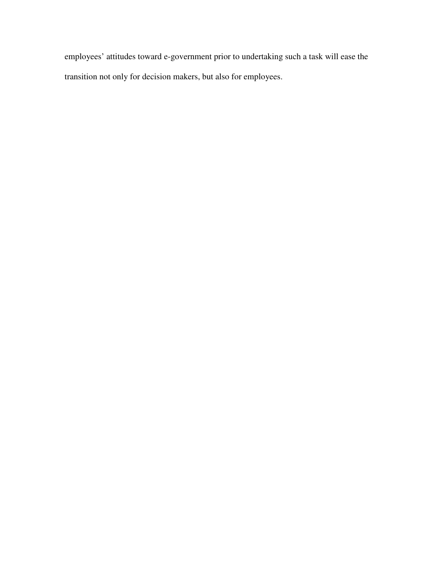employees' attitudes toward e-government prior to undertaking such a task will ease the transition not only for decision makers, but also for employees.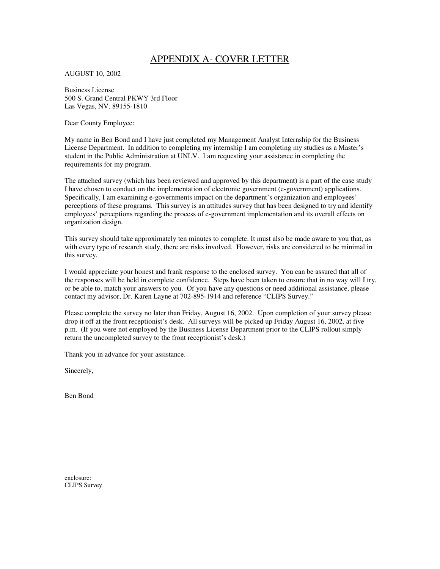### APPENDIX A- COVER LETTER

AUGUST 10, 2002

Business License 500 S. Grand Central PKWY 3rd Floor Las Vegas, NV. 89155-1810

Dear County Employee:

My name in Ben Bond and I have just completed my Management Analyst Internship for the Business License Department. In addition to completing my internship I am completing my studies as a Master's student in the Public Administration at UNLV. I am requesting your assistance in completing the requirements for my program.

The attached survey (which has been reviewed and approved by this department) is a part of the case study I have chosen to conduct on the implementation of electronic government (e-government) applications. Specifically, I am examining e-governments impact on the department's organization and employees' perceptions of these programs. This survey is an attitudes survey that has been designed to try and identify employees' perceptions regarding the process of e-government implementation and its overall effects on organization design.

This survey should take approximately ten minutes to complete. It must also be made aware to you that, as with every type of research study, there are risks involved. However, risks are considered to be minimal in this survey.

I would appreciate your honest and frank response to the enclosed survey. You can be assured that all of the responses will be held in complete confidence. Steps have been taken to ensure that in no way will I try, or be able to, match your answers to you. Of you have any questions or need additional assistance, please contact my advisor, Dr. Karen Layne at 702-895-1914 and reference "CLIPS Survey."

Please complete the survey no later than Friday, August 16, 2002. Upon completion of your survey please drop it off at the front receptionist's desk. All surveys will be picked up Friday August 16, 2002, at five p.m. (If you were not employed by the Business License Department prior to the CLIPS rollout simply return the uncompleted survey to the front receptionist's desk.)

Thank you in advance for your assistance.

Sincerely,

Ben Bond

enclosure: CLIPS Survey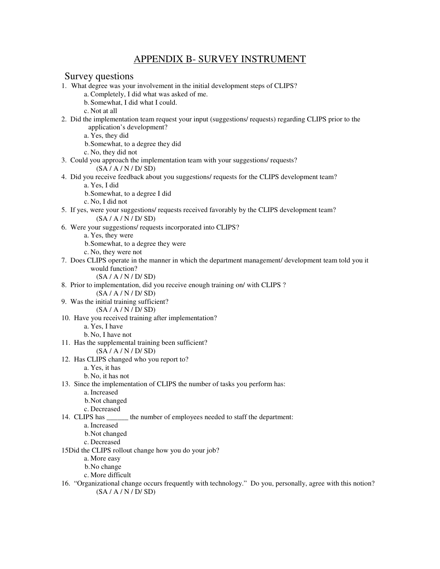### APPENDIX B- SURVEY INSTRUMENT

#### Survey questions

- 1. What degree was your involvement in the initial development steps of CLIPS?
	- a. Completely, I did what was asked of me.
	- b. Somewhat, I did what I could.
	- c. Not at all
- 2. Did the implementation team request your input (suggestions/ requests) regarding CLIPS prior to the application's development?
	- a. Yes, they did
	- b.Somewhat, to a degree they did
	- c. No, they did not
- 3. Could you approach the implementation team with your suggestions/ requests?
	- (SA / A / N / D/ SD)
- 4. Did you receive feedback about you suggestions/ requests for the CLIPS development team?
	- a. Yes, I did
		- b.Somewhat, to a degree I did
	- c. No, I did not
- 5. If yes, were your suggestions/ requests received favorably by the CLIPS development team?  $(SA / A / N / D / SD)$
- 6. Were your suggestions/ requests incorporated into CLIPS?
	- a. Yes, they were
	- b.Somewhat, to a degree they were
	- c. No, they were not
- 7. Does CLIPS operate in the manner in which the department management/ development team told you it would function?
	- (SA / A / N / D/ SD)
- 8. Prior to implementation, did you receive enough training on/ with CLIPS ?
	- (SA / A / N / D/ SD)
- 9. Was the initial training sufficient? (SA / A / N / D/ SD)
- 10. Have you received training after implementation?
	- a. Yes, I have
	- b. No, I have not
- 11. Has the supplemental training been sufficient?
	- (SA / A / N / D/ SD)
- 12. Has CLIPS changed who you report to?
	- a. Yes, it has
	- b. No, it has not
- 13. Since the implementation of CLIPS the number of tasks you perform has:
	- a. Increased
	- b.Not changed
	- c. Decreased
- 14. CLIPS has \_\_\_\_\_\_ the number of employees needed to staff the department:
	- a. Increased
		- b.Not changed
		- c. Decreased
- 15Did the CLIPS rollout change how you do your job?
	- a. More easy
	- b.No change
	- c. More difficult
- 16. "Organizational change occurs frequently with technology." Do you, personally, agree with this notion?  $(SA / A / N / D / SD)$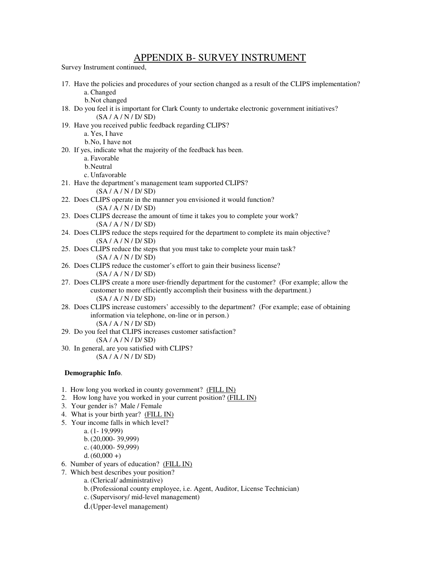### APPENDIX B- SURVEY INSTRUMENT

Survey Instrument continued,

17. Have the policies and procedures of your section changed as a result of the CLIPS implementation? a. Changed

b.Not changed

- 18. Do you feel it is important for Clark County to undertake electronic government initiatives?  $(SA / A / N / D / SD)$
- 19. Have you received public feedback regarding CLIPS?

a. Yes, I have

b.No, I have not

- 20. If yes, indicate what the majority of the feedback has been.
	- a. Favorable
	- b.Neutral

c. Unfavorable

- 21. Have the department's management team supported CLIPS?
	- $(SA / A / N / D / SD)$
- 22. Does CLIPS operate in the manner you envisioned it would function? (SA / A / N / D/ SD)
- 23. Does CLIPS decrease the amount of time it takes you to complete your work? (SA / A / N / D/ SD)
- 24. Does CLIPS reduce the steps required for the department to complete its main objective? (SA / A / N / D/ SD)
- 25. Does CLIPS reduce the steps that you must take to complete your main task? (SA / A / N / D/ SD)
- 26. Does CLIPS reduce the customer's effort to gain their business license?  $(SA / A / N / D / SD)$
- 27. Does CLIPS create a more user-friendly department for the customer? (For example; allow the customer to more efficiently accomplish their business with the department.) (SA / A / N / D/ SD)
- 28. Does CLIPS increase customers' accessibly to the department? (For example; ease of obtaining information via telephone, on-line or in person.) (SA / A / N / D/ SD)
- 29. Do you feel that CLIPS increases customer satisfaction?  $(SA / A / N / D / SD)$
- 30. In general, are you satisfied with CLIPS?  $(SA / A / N / D / SD)$

#### **Demographic Info**.

- 1. How long you worked in county government? (FILL IN)
- 2. How long have you worked in your current position? (FILL IN)
- 3. Your gender is? Male / Female
- 4. What is your birth year? (FILL IN)
- 5. Your income falls in which level?
	- a. (1- 19,999)
	- b.(20,000- 39,999)
	- c. (40,000- 59,999)
	- d. $(60,000 +)$
- 6. Number of years of education? (FILL IN)
- 7. Which best describes your position?
	- a. (Clerical/ administrative)
	- b.(Professional county employee, i.e. Agent, Auditor, License Technician)
	- c. (Supervisory/ mid-level management)
	- d.(Upper-level management)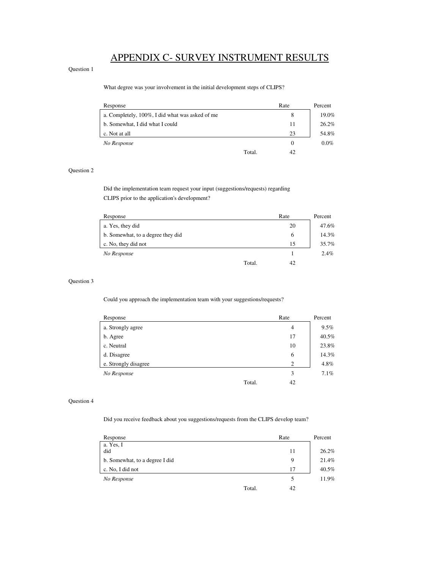# APPENDIX C- SURVEY INSTRUMENT RESULTS

#### Question 1

What degree was your involvement in the initial development steps of CLIPS?

| Response                                        | Rate         | Percent |
|-------------------------------------------------|--------------|---------|
| a. Completely, 100%, I did what was asked of me | 8            | 19.0%   |
| b. Somewhat, I did what I could                 | 11           | 26.2%   |
| c. Not at all                                   | 23           | 54.8%   |
| No Response                                     | $\theta$     | $0.0\%$ |
|                                                 | Total.<br>42 |         |

#### Question 2

 Did the implementation team request your input (suggestions/requests) regarding CLIPS prior to the application's development?

| Response                          |        | Rate | Percent |
|-----------------------------------|--------|------|---------|
| a. Yes, they did                  |        | 20   | 47.6%   |
| b. Somewhat, to a degree they did |        | 6    | 14.3%   |
| c. No, they did not               |        | 15   | 35.7%   |
| No Response                       |        |      | 2.4%    |
|                                   | Total. | 42   |         |
|                                   |        |      |         |

#### Question 3

Could you approach the implementation team with your suggestions/requests?

| Response             | Rate | Percent |
|----------------------|------|---------|
| a. Strongly agree    | 4    | 9.5%    |
| b. Agree             | 17   | 40.5%   |
| c. Neutral           | 10   | 23.8%   |
| d. Disagree          | 6    | 14.3%   |
| e. Strongly disagree | 2    | 4.8%    |
| No Response          | 3    | 7.1%    |
| Total.               | 42   |         |

#### Question 4

Did you receive feedback about you suggestions/requests from the CLIPS develop team?

| Response                       | Rate         | Percent |
|--------------------------------|--------------|---------|
| a. Yes, I<br>did               | 11           | 26.2%   |
| b. Somewhat, to a degree I did | 9            | 21.4%   |
| c. No, I did not               | 17           | 40.5%   |
| No Response                    | 5            | 11.9%   |
|                                | Total.<br>42 |         |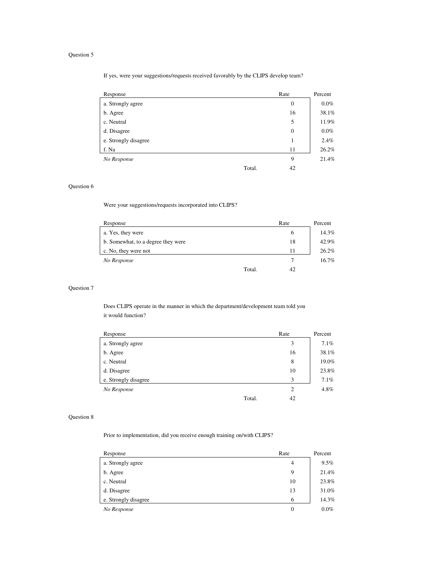If yes, were your suggestions/requests received favorably by the CLIPS develop team?

| Response             | Rate             | Percent |
|----------------------|------------------|---------|
| a. Strongly agree    | $\boldsymbol{0}$ | $0.0\%$ |
| b. Agree             | 16               | 38.1%   |
| c. Neutral           | 5                | 11.9%   |
| d. Disagree          | $\boldsymbol{0}$ | $0.0\%$ |
| e. Strongly disagree | -1               | 2.4%    |
| f. Na                | 11               | 26.2%   |
| No Response          | 9                | 21.4%   |
| Total.               | 42               |         |

#### Question 6

Were your suggestions/requests incorporated into CLIPS?

| Response                           |        | Rate | Percent |
|------------------------------------|--------|------|---------|
| a. Yes, they were                  |        | 6    | 14.3%   |
| b. Somewhat, to a degree they were |        | 18   | 42.9%   |
| c. No, they were not               |        | 11   | 26.2%   |
| No Response                        |        |      | 16.7%   |
|                                    | Total. | 42   |         |
|                                    |        |      |         |

#### Question 7

 Does CLIPS operate in the manner in which the department/development team told you it would function?

| Response             |        | Rate           | Percent |
|----------------------|--------|----------------|---------|
| a. Strongly agree    |        | 3              | 7.1%    |
| b. Agree             |        | 16             | 38.1%   |
| c. Neutral           |        | 8              | 19.0%   |
| d. Disagree          |        | 10             | 23.8%   |
| e. Strongly disagree |        | 3              | 7.1%    |
| No Response          |        | $\overline{2}$ | 4.8%    |
|                      | Total. | 42             |         |

#### Question 8

Prior to implementation, did you receive enough training on/with CLIPS?

| Response             | Rate | Percent |
|----------------------|------|---------|
| a. Strongly agree    | 4    | 9.5%    |
| b. Agree             | 9    | 21.4%   |
| c. Neutral           | 10   | 23.8%   |
| d. Disagree          | 13   | 31.0%   |
| e. Strongly disagree | 6    | 14.3%   |
| No Response          | 0    | $0.0\%$ |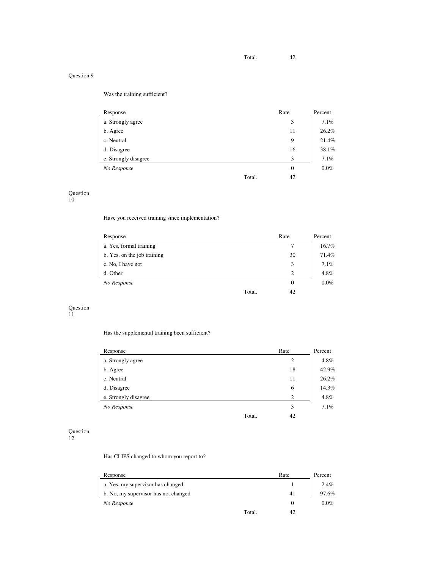Was the training sufficient?

| Response             | Rate             | Percent |
|----------------------|------------------|---------|
| a. Strongly agree    | 3                | 7.1%    |
| b. Agree             | 11               | 26.2%   |
| c. Neutral           | 9                | 21.4%   |
| d. Disagree          | 16               | 38.1%   |
| e. Strongly disagree | 3                | 7.1%    |
| No Response          | $\boldsymbol{0}$ | $0.0\%$ |
| Total.               | 42               |         |

Question 10

Have you received training since implementation?

| Response                    |        | Rate           | Percent |
|-----------------------------|--------|----------------|---------|
| a. Yes, formal training     |        | 7              | 16.7%   |
| b. Yes, on the job training |        | 30             | 71.4%   |
| c. No, I have not           |        | 3              | 7.1%    |
| d. Other                    |        | $\mathfrak{D}$ | 4.8%    |
| No Response                 |        | 0              | $0.0\%$ |
|                             | Total. | 42             |         |

#### Question 11

Has the supplemental training been sufficient?

| Response             | Rate           | Percent |
|----------------------|----------------|---------|
| a. Strongly agree    | 2              | 4.8%    |
| b. Agree             | 18             | 42.9%   |
| c. Neutral           | 11             | 26.2%   |
| d. Disagree          | 6              | 14.3%   |
| e. Strongly disagree | $\overline{2}$ | 4.8%    |
| No Response          | 3              | 7.1%    |
| Total.               | 42             |         |

Question 12

Has CLIPS changed to whom you report to?

| Response                             | Rate | Percent |
|--------------------------------------|------|---------|
| a. Yes, my supervisor has changed    |      | 2.4%    |
| b. No, my supervisor has not changed | 41   | 97.6%   |
| No Response                          |      | $0.0\%$ |
| Total.                               | 42   |         |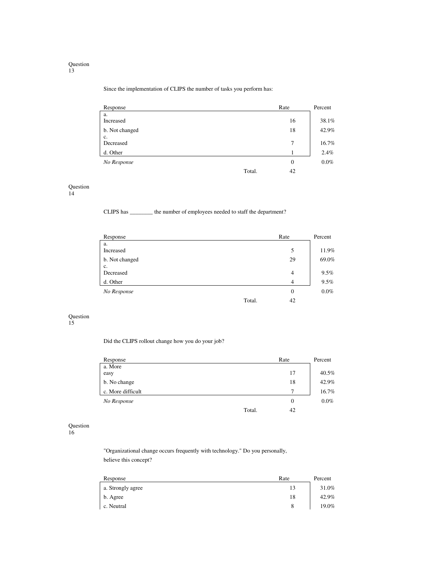#### Since the implementation of CLIPS the number of tasks you perform has:

| Response        | Rate           | Percent |
|-----------------|----------------|---------|
| a.<br>Increased | 16             | 38.1%   |
| b. Not changed  | 18             | 42.9%   |
| c.<br>Decreased | 7              | 16.7%   |
| d. Other        |                | 2.4%    |
| No Response     | $\overline{0}$ | $0.0\%$ |
| Total.          | 42             |         |

#### Question

14

CLIPS has \_\_\_\_\_\_\_\_ the number of employees needed to staff the department?

| Response        |        | Rate           | Percent |
|-----------------|--------|----------------|---------|
| a.<br>Increased |        | 5              | 11.9%   |
| b. Not changed  |        | 29             | 69.0%   |
| c.<br>Decreased |        | 4              | 9.5%    |
| d. Other        |        | $\overline{4}$ | 9.5%    |
| No Response     |        | $\overline{0}$ | $0.0\%$ |
|                 | Total. | 42             |         |

#### Question 15

Did the CLIPS rollout change how you do your job?

| Response          |        | Rate | Percent |
|-------------------|--------|------|---------|
| a. More           |        |      |         |
| easy              |        | 17   | 40.5%   |
| b. No change      |        | 18   | 42.9%   |
| c. More difficult |        | ⇁    | 16.7%   |
| No Response       |        | 0    | $0.0\%$ |
|                   | Total. | 42   |         |

#### Question

16

 "Organizational change occurs frequently with technology." Do you personally, believe this concept?

| Response          | Rate | Percent |
|-------------------|------|---------|
| a. Strongly agree | 13   | 31.0%   |
| b. Agree          | 18   | 42.9%   |
| c. Neutral        | 8    | 19.0%   |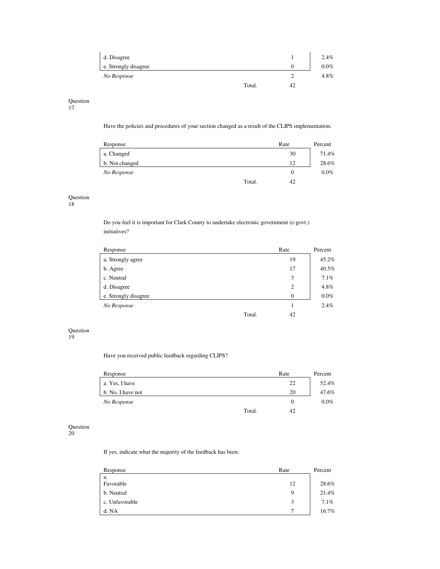| d. Disagree          |        |    | 2.4%    |
|----------------------|--------|----|---------|
| e. Strongly disagree |        |    | $0.0\%$ |
| No Response          |        |    | 4.8%    |
|                      | Total. | 42 |         |

17

Have the policies and procedures of your section changed as a result of the CLIPS implementation.

| Response       | Rate         | Percent |
|----------------|--------------|---------|
| a. Changed     | 30           | 71.4%   |
| b. Not changed | 12           | 28.6%   |
| No Response    | 0            | $0.0\%$ |
|                | Total.<br>42 |         |

#### Question

18

 Do you feel it is important for Clark County to undertake electronic government (e-govt.) initiatives?

| Response             |        | Rate     | Percent |
|----------------------|--------|----------|---------|
| a. Strongly agree    |        | 19       | 45.2%   |
| b. Agree             |        | 17       | 40.5%   |
| c. Neutral           |        | 3        | 7.1%    |
| d. Disagree          |        | 2        | 4.8%    |
| e. Strongly disagree |        | $\theta$ | $0.0\%$ |
| No Response          |        |          | 2.4%    |
|                      | Total. | 42       |         |

#### Question

19

Have you received public feedback regarding CLIPS?

| Response          |        | Rate     | Percent |
|-------------------|--------|----------|---------|
| a. Yes, I have    |        | 22       | 52.4%   |
| b. No, I have not |        | 20       | 47.6%   |
| No Response       |        | $\theta$ | $0.0\%$ |
|                   | Total. | 42       |         |

#### Question

20

If yes, indicate what the majority of the feedback has been.

| Response        | Rate   | Percent |
|-----------------|--------|---------|
| a.<br>Favorable | 12     | 28.6%   |
| b. Neutral      | 9      | 21.4%   |
| c. Unfavorable  | 3<br>J | $7.1\%$ |
| d. NA           | ⇁      | 16.7%   |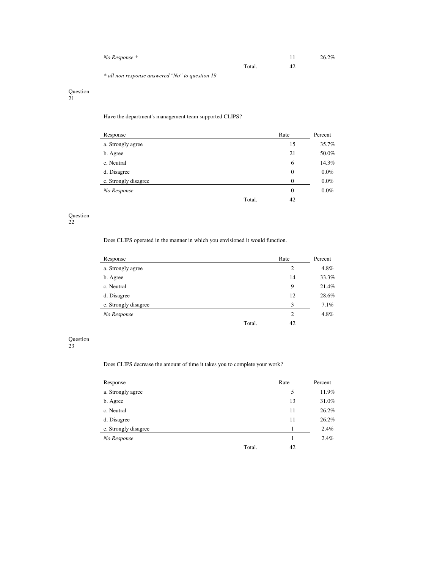| No Response * |        | 11 | 26.2% |
|---------------|--------|----|-------|
|               | Total. | 42 |       |

*\* all non response answered "No" to question 19* 

#### Question

21

Have the department's management team supported CLIPS?

| Response             | Rate             | Percent |
|----------------------|------------------|---------|
| a. Strongly agree    | 15               | 35.7%   |
| b. Agree             | 21               | 50.0%   |
| c. Neutral           | 6                | 14.3%   |
| d. Disagree          | $\boldsymbol{0}$ | $0.0\%$ |
| e. Strongly disagree | $\theta$         | $0.0\%$ |
| No Response          | $\overline{0}$   | $0.0\%$ |
| Total.               | 42               |         |

### Question

22

Does CLIPS operated in the manner in which you envisioned it would function.

| Response             |        | Rate           | Percent |
|----------------------|--------|----------------|---------|
| a. Strongly agree    |        | 2              | 4.8%    |
| b. Agree             |        | 14             | 33.3%   |
| c. Neutral           |        | 9              | 21.4%   |
| d. Disagree          |        | 12             | 28.6%   |
| e. Strongly disagree |        | 3              | 7.1%    |
| No Response          |        | $\overline{2}$ | 4.8%    |
|                      | Total. | 42             |         |

Question 23

#### Does CLIPS decrease the amount of time it takes you to complete your work?

| Response             | Rate | Percent |
|----------------------|------|---------|
| a. Strongly agree    | 5    | 11.9%   |
| b. Agree             | 13   | 31.0%   |
| c. Neutral           | 11   | 26.2%   |
| d. Disagree          | 11   | 26.2%   |
| e. Strongly disagree |      | 2.4%    |
| No Response          |      | 2.4%    |
| Total.               | 42   |         |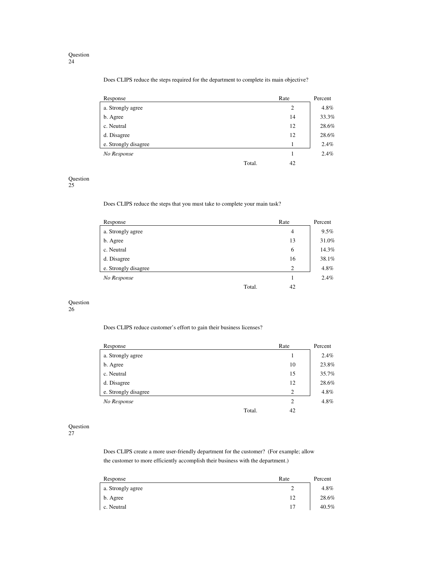Does CLIPS reduce the steps required for the department to complete its main objective?

| Response             |        | Rate | Percent |
|----------------------|--------|------|---------|
| a. Strongly agree    |        | 2    | 4.8%    |
| b. Agree             |        | 14   | 33.3%   |
| c. Neutral           |        | 12   | 28.6%   |
| d. Disagree          |        | 12   | 28.6%   |
| e. Strongly disagree |        |      | 2.4%    |
| No Response          |        |      | 2.4%    |
|                      | Total. | 42   |         |

#### Question

25

Does CLIPS reduce the steps that you must take to complete your main task?

| Response             |        | Rate           | Percent |
|----------------------|--------|----------------|---------|
| a. Strongly agree    |        | 4              | 9.5%    |
| b. Agree             |        | 13             | 31.0%   |
| c. Neutral           |        | 6              | 14.3%   |
| d. Disagree          |        | 16             | 38.1%   |
| e. Strongly disagree |        | $\overline{2}$ | 4.8%    |
| No Response          |        |                | 2.4%    |
|                      | Total. | 42             |         |

#### Question

26

Does CLIPS reduce customer's effort to gain their business licenses?

| Response             |        | Rate           | Percent |
|----------------------|--------|----------------|---------|
| a. Strongly agree    |        |                | 2.4%    |
| b. Agree             |        | 10             | 23.8%   |
| c. Neutral           |        | 15             | 35.7%   |
| d. Disagree          |        | 12             | 28.6%   |
| e. Strongly disagree |        | $\overline{2}$ | 4.8%    |
| No Response          |        | 2              | 4.8%    |
|                      | Total. | 42             |         |

#### Question

27

 Does CLIPS create a more user-friendly department for the customer? (For example; allow the customer to more efficiently accomplish their business with the department.)

| Response          | Rate | Percent |
|-------------------|------|---------|
| a. Strongly agree | ∸    | 4.8%    |
| b. Agree          | 12   | 28.6%   |
| c. Neutral        | 17   | 40.5%   |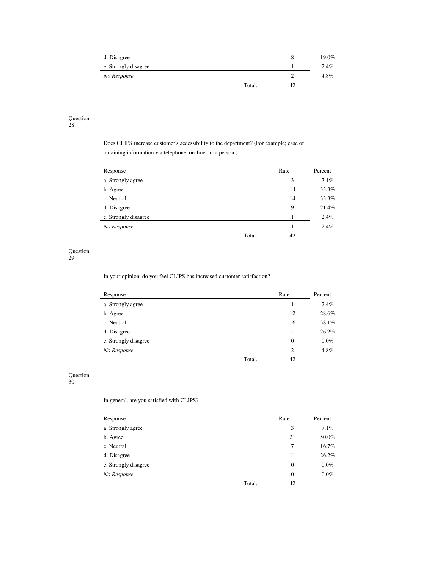| d. Disagree          |        | 8  | 19.0%   |
|----------------------|--------|----|---------|
| e. Strongly disagree |        |    | 2.4%    |
| No Response          |        |    | $4.8\%$ |
|                      | Total. | 42 |         |

28

 Does CLIPS increase customer's accessibility to the department? (For example; ease of obtaining information via telephone, on-line or in person.)

| Response             | Rate | Percent |
|----------------------|------|---------|
| a. Strongly agree    | 3    | 7.1%    |
| b. Agree             | 14   | 33.3%   |
| c. Neutral           | 14   | 33.3%   |
| d. Disagree          | 9    | 21.4%   |
| e. Strongly disagree |      | 2.4%    |
| No Response          |      | 2.4%    |
| Total.               | 42   |         |

### Question

29

In your opinion, do you feel CLIPS has increased customer satisfaction?

| Response             | Rate         | Percent |
|----------------------|--------------|---------|
| a. Strongly agree    |              | 2.4%    |
| b. Agree             | 12           | 28.6%   |
| c. Neutral           | 16           | 38.1%   |
| d. Disagree          | 11           | 26.2%   |
| e. Strongly disagree | $\mathbf{0}$ | $0.0\%$ |
| No Response          | 2            | 4.8%    |
| Total.               | 42           |         |

#### Question

30

In general, are you satisfied with CLIPS?

| Response             | Rate           | Percent |
|----------------------|----------------|---------|
| a. Strongly agree    | 3              | 7.1%    |
| b. Agree             | 21             | 50.0%   |
| c. Neutral           | 7              | 16.7%   |
| d. Disagree          | 11             | 26.2%   |
| e. Strongly disagree | $\overline{0}$ | $0.0\%$ |
| No Response          | $\overline{0}$ | $0.0\%$ |
| Total.               | 42             |         |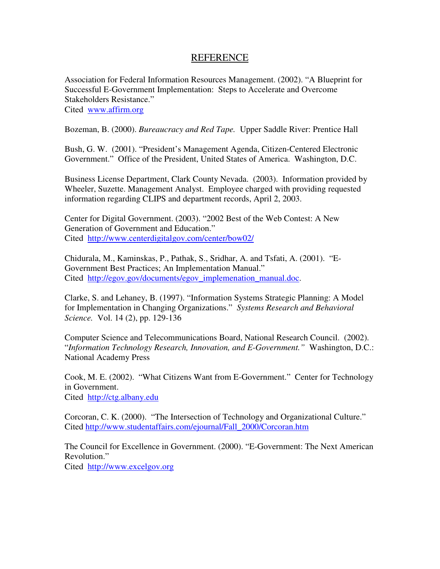Association for Federal Information Resources Management. (2002). "A Blueprint for Successful E-Government Implementation: Steps to Accelerate and Overcome Stakeholders Resistance." Cited www.affirm.org

Bozeman, B. (2000). *Bureaucracy and Red Tape.* Upper Saddle River: Prentice Hall

Bush, G. W. (2001). "President's Management Agenda, Citizen-Centered Electronic Government." Office of the President, United States of America. Washington, D.C.

Business License Department, Clark County Nevada. (2003). Information provided by Wheeler, Suzette. Management Analyst. Employee charged with providing requested information regarding CLIPS and department records, April 2, 2003.

Center for Digital Government. (2003). "2002 Best of the Web Contest: A New Generation of Government and Education." Cited http://www.centerdigitalgov.com/center/bow02/

Chidurala, M., Kaminskas, P., Pathak, S., Sridhar, A. and Tsfati, A. (2001). "E-Government Best Practices; An Implementation Manual." Cited http://egov.gov/documents/egov\_implemenation\_manual.doc.

Clarke, S. and Lehaney, B. (1997). "Information Systems Strategic Planning: A Model for Implementation in Changing Organizations." *Systems Research and Behavioral Science.* Vol. 14 (2), pp. 129-136

Computer Science and Telecommunications Board, National Research Council. (2002). "*Information Technology Research, Innovation, and E-Government."* Washington, D.C.: National Academy Press

Cook, M. E. (2002). "What Citizens Want from E-Government." Center for Technology in Government. Cited http://ctg.albany.edu

Corcoran, C. K. (2000). "The Intersection of Technology and Organizational Culture." Cited http://www.studentaffairs.com/ejournal/Fall\_2000/Corcoran.htm

The Council for Excellence in Government. (2000). "E-Government: The Next American Revolution." Cited http://www.excelgov.org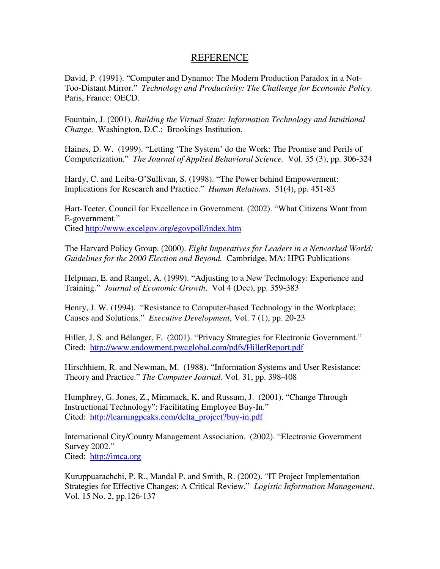David, P. (1991). "Computer and Dynamo: The Modern Production Paradox in a Not-Too-Distant Mirror." *Technology and Productivity: The Challenge for Economic Policy.* Paris, France: OECD.

Fountain, J. (2001). *Building the Virtual State: Information Technology and Intuitional Change.* Washington, D.C.: Brookings Institution.

Haines, D. W. (1999). "Letting 'The System' do the Work: The Promise and Perils of Computerization." *The Journal of Applied Behavioral Science.* Vol. 35 (3), pp. 306-324

Hardy, C. and Leiba-O'Sullivan, S. (1998). "The Power behind Empowerment: Implications for Research and Practice." *Human Relations*. 51(4), pp. 451-83

Hart-Teeter, Council for Excellence in Government. (2002). "What Citizens Want from E-government." Cited http://www.excelgov.org/egovpoll/index.htm

The Harvard Policy Group. (2000). *Eight Imperatives for Leaders in a Networked World: Guidelines for the 2000 Election and Beyond.* Cambridge, MA: HPG Publications

Helpman, E. and Rangel, A. (1999). "Adjusting to a New Technology: Experience and Training." *Journal of Economic Growth*. Vol 4 (Dec), pp. 359-383

Henry, J. W. (1994). "Resistance to Computer-based Technology in the Workplace; Causes and Solutions." *Executive Development*, Vol. 7 (1), pp. 20-23

Hiller, J. S. and Bélanger, F. (2001). "Privacy Strategies for Electronic Government." Cited: http://www.endowment.pwcglobal.com/pdfs/HillerReport.pdf

Hirschhiem, R. and Newman, M. (1988). "Information Systems and User Resistance: Theory and Practice." *The Computer Journal*. Vol. 31, pp. 398-408

Humphrey, G. Jones, Z., Mimmack, K. and Russum, J. (2001). "Change Through Instructional Technology": Facilitating Employee Buy-In." Cited: http://learningpeaks.com/delta\_project?buy-in.pdf

International City/County Management Association. (2002). "Electronic Government Survey 2002." Cited: http://imca.org

Kuruppuarachchi, P. R., Mandal P. and Smith, R. (2002). "IT Project Implementation Strategies for Effective Changes: A Critical Review." *Logistic Information Management*. Vol. 15 No. 2, pp.126-137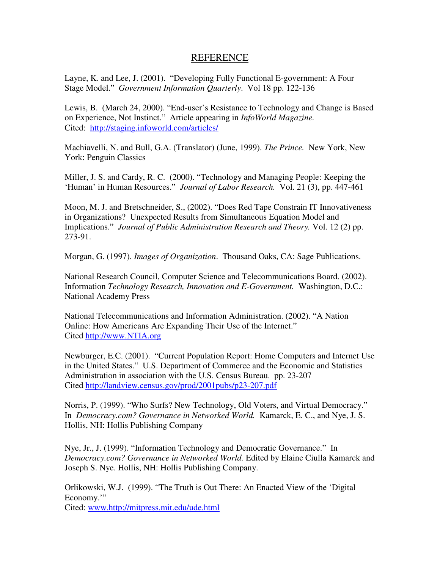Layne, K. and Lee, J. (2001). "Developing Fully Functional E-government: A Four Stage Model." *Government Information Quarterly*. Vol 18 pp. 122-136

Lewis, B. (March 24, 2000). "End-user's Resistance to Technology and Change is Based on Experience, Not Instinct." Article appearing in *InfoWorld Magazine.*  Cited: http://staging.infoworld.com/articles/

Machiavelli, N. and Bull, G.A. (Translator) (June, 1999). *The Prince.* New York, New York: Penguin Classics

Miller, J. S. and Cardy, R. C. (2000). "Technology and Managing People: Keeping the 'Human' in Human Resources." *Journal of Labor Research.* Vol. 21 (3), pp. 447-461

Moon, M. J. and Bretschneider, S., (2002). "Does Red Tape Constrain IT Innovativeness in Organizations? Unexpected Results from Simultaneous Equation Model and Implications." *Journal of Public Administration Research and Theory.* Vol. 12 (2) pp. 273-91.

Morgan, G. (1997). *Images of Organization*. Thousand Oaks, CA: Sage Publications.

National Research Council, Computer Science and Telecommunications Board. (2002). Information *Technology Research, Innovation and E-Government.* Washington, D.C.: National Academy Press

National Telecommunications and Information Administration. (2002). "A Nation Online: How Americans Are Expanding Their Use of the Internet." Cited http://www.NTIA.org

Newburger, E.C. (2001). "Current Population Report: Home Computers and Internet Use in the United States." U.S. Department of Commerce and the Economic and Statistics Administration in association with the U.S. Census Bureau. pp. 23-207 Cited http://landview.census.gov/prod/2001pubs/p23-207.pdf

Norris, P. (1999). "Who Surfs? New Technology, Old Voters, and Virtual Democracy." In *Democracy.com? Governance in Networked World.* Kamarck, E. C., and Nye, J. S. Hollis, NH: Hollis Publishing Company

Nye, Jr., J. (1999). "Information Technology and Democratic Governance." In *Democracy.com? Governance in Networked World.* Edited by Elaine Ciulla Kamarck and Joseph S. Nye. Hollis, NH: Hollis Publishing Company.

Orlikowski, W.J. (1999). "The Truth is Out There: An Enacted View of the 'Digital Economy." Cited: www.http://mitpress.mit.edu/ude.html